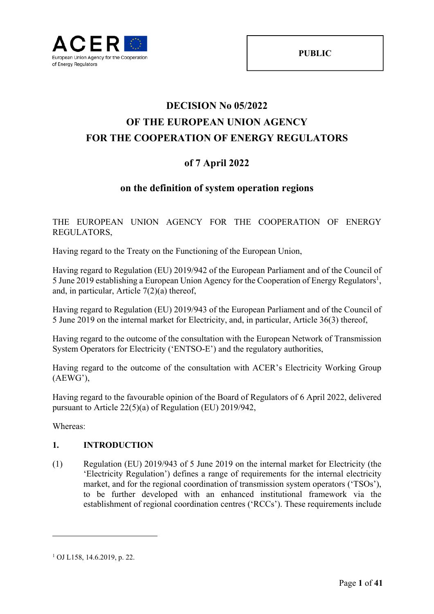

# **DECISION No 05/2022 OF THE EUROPEAN UNION AGENCY FOR THE COOPERATION OF ENERGY REGULATORS**

## **of 7 April 2022**

### **on the definition of system operation regions**

THE EUROPEAN UNION AGENCY FOR THE COOPERATION OF ENERGY REGULATORS,

Having regard to the Treaty on the Functioning of the European Union,

Having regard to Regulation (EU) 2019/942 of the European Parliament and of the Council of 5 June 2019 establishing a European Union Agency for the Cooperation of Energy Regulators<sup>1</sup>, and, in particular, Article 7(2)(a) thereof,

Having regard to Regulation (EU) 2019/943 of the European Parliament and of the Council of 5 June 2019 on the internal market for Electricity, and, in particular, Article 36(3) thereof,

Having regard to the outcome of the consultation with the European Network of Transmission System Operators for Electricity ('ENTSO-E') and the regulatory authorities,

Having regard to the outcome of the consultation with ACER's Electricity Working Group (AEWG'),

Having regard to the favourable opinion of the Board of Regulators of 6 April 2022, delivered pursuant to Article 22(5)(a) of Regulation (EU) 2019/942,

Whereas:

<u>.</u>

### **1. INTRODUCTION**

(1) Regulation (EU) 2019/943 of 5 June 2019 on the internal market for Electricity (the 'Electricity Regulation') defines a range of requirements for the internal electricity market, and for the regional coordination of transmission system operators ('TSOs'), to be further developed with an enhanced institutional framework via the establishment of regional coordination centres ('RCCs'). These requirements include

<sup>1</sup> OJ L158, 14.6.2019, p. 22.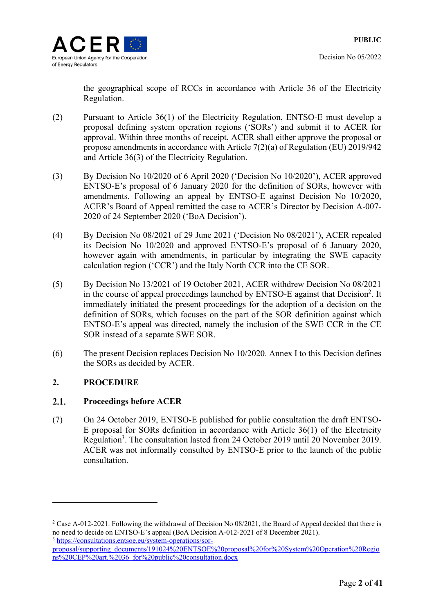

the geographical scope of RCCs in accordance with Article 36 of the Electricity Regulation.

- (2) Pursuant to Article 36(1) of the Electricity Regulation, ENTSO-E must develop a proposal defining system operation regions ('SORs') and submit it to ACER for approval. Within three months of receipt, ACER shall either approve the proposal or propose amendments in accordance with Article 7(2)(a) of Regulation (EU) 2019/942 and Article 36(3) of the Electricity Regulation.
- (3) By Decision No 10/2020 of 6 April 2020 ('Decision No 10/2020'), ACER approved ENTSO-E's proposal of 6 January 2020 for the definition of SORs, however with amendments. Following an appeal by ENTSO-E against Decision No 10/2020, ACER's Board of Appeal remitted the case to ACER's Director by Decision A-007- 2020 of 24 September 2020 ('BoA Decision').
- (4) By Decision No 08/2021 of 29 June 2021 ('Decision No 08/2021'), ACER repealed its Decision No 10/2020 and approved ENTSO-E's proposal of 6 January 2020, however again with amendments, in particular by integrating the SWE capacity calculation region ('CCR') and the Italy North CCR into the CE SOR.
- (5) By Decision No 13/2021 of 19 October 2021, ACER withdrew Decision No 08/2021 in the course of appeal proceedings launched by ENTSO-E against that Decision<sup>2</sup>. It immediately initiated the present proceedings for the adoption of a decision on the definition of SORs, which focuses on the part of the SOR definition against which ENTSO-E's appeal was directed, namely the inclusion of the SWE CCR in the CE SOR instead of a separate SWE SOR.
- (6) The present Decision replaces Decision No 10/2020. Annex I to this Decision defines the SORs as decided by ACER.

### **2. PROCEDURE**

1

#### $2.1.$ **Proceedings before ACER**

(7) On 24 October 2019, ENTSO-E published for public consultation the draft ENTSO-E proposal for SORs definition in accordance with Article 36(1) of the Electricity Regulation<sup>3</sup>. The consultation lasted from 24 October 2019 until 20 November 2019. ACER was not informally consulted by ENTSO-E prior to the launch of the public consultation.

<sup>&</sup>lt;sup>2</sup> Case A-012-2021. Following the withdrawal of Decision No 08/2021, the Board of Appeal decided that there is no need to decide on ENTSO-E's appeal (BoA Decision A-012-2021 of 8 December 2021). <sup>3</sup> https://consultations.entsoe.eu/system-operations/sor-

proposal/supporting\_documents/191024%20ENTSOE%20proposal%20for%20System%20Operation%20Regio ns%20CEP%20art.%2036\_for%20public%20consultation.docx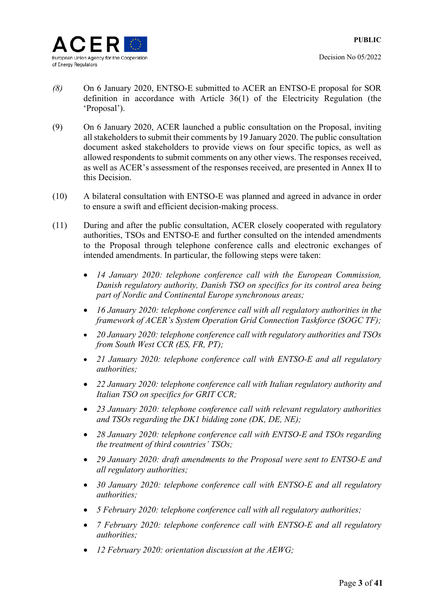

- *(8)* On 6 January 2020, ENTSO-E submitted to ACER an ENTSO-E proposal for SOR definition in accordance with Article 36(1) of the Electricity Regulation (the 'Proposal').
- (9) On 6 January 2020, ACER launched a public consultation on the Proposal, inviting all stakeholders to submit their comments by 19 January 2020. The public consultation document asked stakeholders to provide views on four specific topics, as well as allowed respondents to submit comments on any other views. The responses received, as well as ACER's assessment of the responses received, are presented in Annex II to this Decision.
- (10) A bilateral consultation with ENTSO-E was planned and agreed in advance in order to ensure a swift and efficient decision-making process.
- (11) During and after the public consultation, ACER closely cooperated with regulatory authorities, TSOs and ENTSO-E and further consulted on the intended amendments to the Proposal through telephone conference calls and electronic exchanges of intended amendments. In particular, the following steps were taken:
	- *14 January 2020: telephone conference call with the European Commission, Danish regulatory authority, Danish TSO on specifics for its control area being part of Nordic and Continental Europe synchronous areas;*
	- *16 January 2020: telephone conference call with all regulatory authorities in the framework of ACER's System Operation Grid Connection Taskforce (SOGC TF);*
	- *20 January 2020: telephone conference call with regulatory authorities and TSOs from South West CCR (ES, FR, PT);*
	- *21 January 2020: telephone conference call with ENTSO-E and all regulatory authorities;*
	- *22 January 2020: telephone conference call with Italian regulatory authority and Italian TSO on specifics for GRIT CCR;*
	- *23 January 2020: telephone conference call with relevant regulatory authorities and TSOs regarding the DK1 bidding zone (DK, DE, NE);*
	- *28 January 2020: telephone conference call with ENTSO-E and TSOs regarding the treatment of third countries' TSOs;*
	- *29 January 2020: draft amendments to the Proposal were sent to ENTSO-E and all regulatory authorities;*
	- *30 January 2020: telephone conference call with ENTSO-E and all regulatory authorities;*
	- *5 February 2020: telephone conference call with all regulatory authorities;*
	- *7 February 2020: telephone conference call with ENTSO-E and all regulatory authorities;*
	- *12 February 2020: orientation discussion at the AEWG;*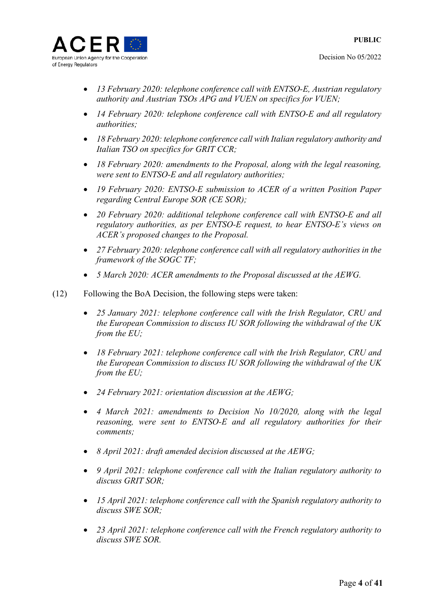

- *13 February 2020: telephone conference call with ENTSO-E, Austrian regulatory authority and Austrian TSOs APG and VUEN on specifics for VUEN;*
- *14 February 2020: telephone conference call with ENTSO-E and all regulatory authorities;*
- *18 February 2020: telephone conference call with Italian regulatory authority and Italian TSO on specifics for GRIT CCR;*
- *18 February 2020: amendments to the Proposal, along with the legal reasoning, were sent to ENTSO-E and all regulatory authorities;*
- *19 February 2020: ENTSO-E submission to ACER of a written Position Paper regarding Central Europe SOR (CE SOR);*
- *20 February 2020: additional telephone conference call with ENTSO-E and all regulatory authorities, as per ENTSO-E request, to hear ENTSO-E's views on ACER's proposed changes to the Proposal.*
- *27 February 2020: telephone conference call with all regulatory authorities in the framework of the SOGC TF;*
- *5 March 2020: ACER amendments to the Proposal discussed at the AEWG.*
- (12) Following the BoA Decision, the following steps were taken:
	- *25 January 2021: telephone conference call with the Irish Regulator, CRU and the European Commission to discuss IU SOR following the withdrawal of the UK from the EU;*
	- *18 February 2021: telephone conference call with the Irish Regulator, CRU and the European Commission to discuss IU SOR following the withdrawal of the UK from the EU;*
	- *24 February 2021: orientation discussion at the AEWG;*
	- *4 March 2021: amendments to Decision No 10/2020, along with the legal reasoning, were sent to ENTSO-E and all regulatory authorities for their comments;*
	- *8 April 2021: draft amended decision discussed at the AEWG;*
	- *9 April 2021: telephone conference call with the Italian regulatory authority to discuss GRIT SOR;*
	- *15 April 2021: telephone conference call with the Spanish regulatory authority to discuss SWE SOR;*
	- *23 April 2021: telephone conference call with the French regulatory authority to discuss SWE SOR.*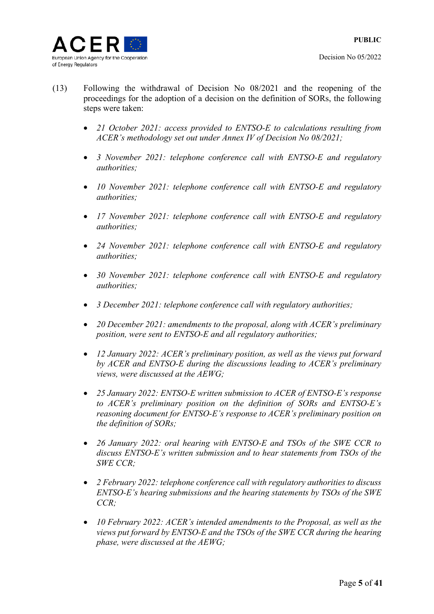- (13) Following the withdrawal of Decision No 08/2021 and the reopening of the proceedings for the adoption of a decision on the definition of SORs, the following steps were taken:
	- *21 October 2021: access provided to ENTSO-E to calculations resulting from ACER's methodology set out under Annex IV of Decision No 08/2021;*
	- *3 November 2021: telephone conference call with ENTSO-E and regulatory authorities;*
	- *10 November 2021: telephone conference call with ENTSO-E and regulatory authorities;*
	- *17 November 2021: telephone conference call with ENTSO-E and regulatory authorities;*
	- *24 November 2021: telephone conference call with ENTSO-E and regulatory authorities;*
	- *30 November 2021: telephone conference call with ENTSO-E and regulatory authorities;*
	- *3 December 2021: telephone conference call with regulatory authorities;*
	- *20 December 2021: amendments to the proposal, along with ACER's preliminary position, were sent to ENTSO-E and all regulatory authorities;*
	- *12 January 2022: ACER's preliminary position, as well as the views put forward by ACER and ENTSO-E during the discussions leading to ACER's preliminary views, were discussed at the AEWG;*
	- *25 January 2022: ENTSO-E written submission to ACER of ENTSO-E's response to ACER's preliminary position on the definition of SORs and ENTSO-E's reasoning document for ENTSO-E's response to ACER's preliminary position on the definition of SORs;*
	- *26 January 2022: oral hearing with ENTSO-E and TSOs of the SWE CCR to discuss ENTSO-E's written submission and to hear statements from TSOs of the SWE CCR;*
	- *2 February 2022: telephone conference call with regulatory authorities to discuss ENTSO-E's hearing submissions and the hearing statements by TSOs of the SWE CCR;*
	- *10 February 2022: ACER's intended amendments to the Proposal, as well as the views put forward by ENTSO-E and the TSOs of the SWE CCR during the hearing phase, were discussed at the AEWG;*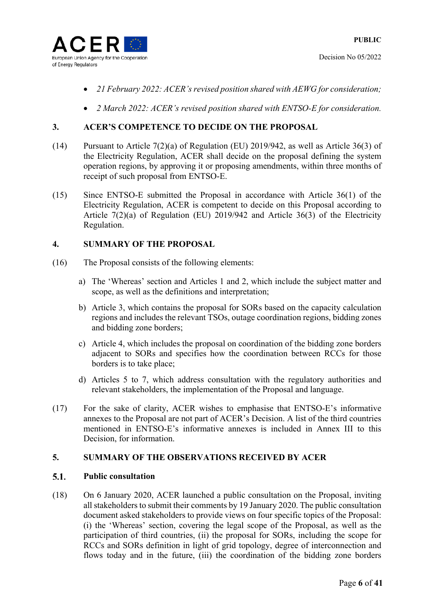

- *21 February 2022: ACER's revised position shared with AEWG for consideration;*
- *2 March 2022: ACER's revised position shared with ENTSO-E for consideration.*

### **3. ACER'S COMPETENCE TO DECIDE ON THE PROPOSAL**

- (14) Pursuant to Article 7(2)(a) of Regulation (EU) 2019/942, as well as Article 36(3) of the Electricity Regulation, ACER shall decide on the proposal defining the system operation regions, by approving it or proposing amendments, within three months of receipt of such proposal from ENTSO-E.
- (15) Since ENTSO-E submitted the Proposal in accordance with Article 36(1) of the Electricity Regulation, ACER is competent to decide on this Proposal according to Article 7(2)(a) of Regulation (EU) 2019/942 and Article 36(3) of the Electricity Regulation.

### **4. SUMMARY OF THE PROPOSAL**

- (16) The Proposal consists of the following elements:
	- a) The 'Whereas' section and Articles 1 and 2, which include the subject matter and scope, as well as the definitions and interpretation;
	- b) Article 3, which contains the proposal for SORs based on the capacity calculation regions and includes the relevant TSOs, outage coordination regions, bidding zones and bidding zone borders;
	- c) Article 4, which includes the proposal on coordination of the bidding zone borders adjacent to SORs and specifies how the coordination between RCCs for those borders is to take place;
	- d) Articles 5 to 7, which address consultation with the regulatory authorities and relevant stakeholders, the implementation of the Proposal and language.
- (17) For the sake of clarity, ACER wishes to emphasise that ENTSO-E's informative annexes to the Proposal are not part of ACER's Decision. A list of the third countries mentioned in ENTSO-E's informative annexes is included in Annex III to this Decision, for information.

### **5. SUMMARY OF THE OBSERVATIONS RECEIVED BY ACER**

#### $5.1.$ **Public consultation**

(18) On 6 January 2020, ACER launched a public consultation on the Proposal, inviting all stakeholders to submit their comments by 19 January 2020. The public consultation document asked stakeholders to provide views on four specific topics of the Proposal: (i) the 'Whereas' section, covering the legal scope of the Proposal, as well as the participation of third countries, (ii) the proposal for SORs, including the scope for RCCs and SORs definition in light of grid topology, degree of interconnection and flows today and in the future, (iii) the coordination of the bidding zone borders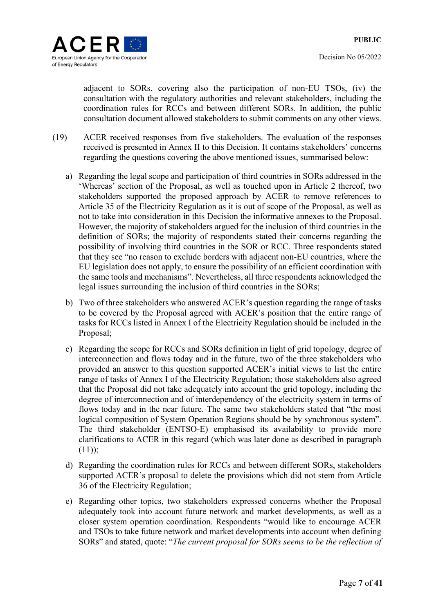adjacent to SORs, covering also the participation of non-EU TSOs, (iv) the consultation with the regulatory authorities and relevant stakeholders, including the coordination rules for RCCs and between different SORs. In addition, the public consultation document allowed stakeholders to submit comments on any other views.

- (19) ACER received responses from five stakeholders. The evaluation of the responses received is presented in Annex II to this Decision. It contains stakeholders' concerns regarding the questions covering the above mentioned issues, summarised below:
	- a) Regarding the legal scope and participation of third countries in SORs addressed in the 'Whereas' section of the Proposal, as well as touched upon in Article 2 thereof, two stakeholders supported the proposed approach by ACER to remove references to Article 35 of the Electricity Regulation as it is out of scope of the Proposal, as well as not to take into consideration in this Decision the informative annexes to the Proposal. However, the majority of stakeholders argued for the inclusion of third countries in the definition of SORs; the majority of respondents stated their concerns regarding the possibility of involving third countries in the SOR or RCC. Three respondents stated that they see "no reason to exclude borders with adjacent non-EU countries, where the EU legislation does not apply, to ensure the possibility of an efficient coordination with the same tools and mechanisms". Nevertheless, all three respondents acknowledged the legal issues surrounding the inclusion of third countries in the SORs;
	- b) Two of three stakeholders who answered ACER's question regarding the range of tasks to be covered by the Proposal agreed with ACER's position that the entire range of tasks for RCCs listed in Annex I of the Electricity Regulation should be included in the Proposal;
	- c) Regarding the scope for RCCs and SORs definition in light of grid topology, degree of interconnection and flows today and in the future, two of the three stakeholders who provided an answer to this question supported ACER's initial views to list the entire range of tasks of Annex I of the Electricity Regulation; those stakeholders also agreed that the Proposal did not take adequately into account the grid topology, including the degree of interconnection and of interdependency of the electricity system in terms of flows today and in the near future. The same two stakeholders stated that "the most logical composition of System Operation Regions should be by synchronous system". The third stakeholder (ENTSO-E) emphasised its availability to provide more clarifications to ACER in this regard (which was later done as described in paragraph  $(11)$ :
	- d) Regarding the coordination rules for RCCs and between different SORs, stakeholders supported ACER's proposal to delete the provisions which did not stem from Article 36 of the Electricity Regulation;
	- e) Regarding other topics, two stakeholders expressed concerns whether the Proposal adequately took into account future network and market developments, as well as a closer system operation coordination. Respondents "would like to encourage ACER and TSOs to take future network and market developments into account when defining SORs" and stated, quote: "*The current proposal for SORs seems to be the reflection of*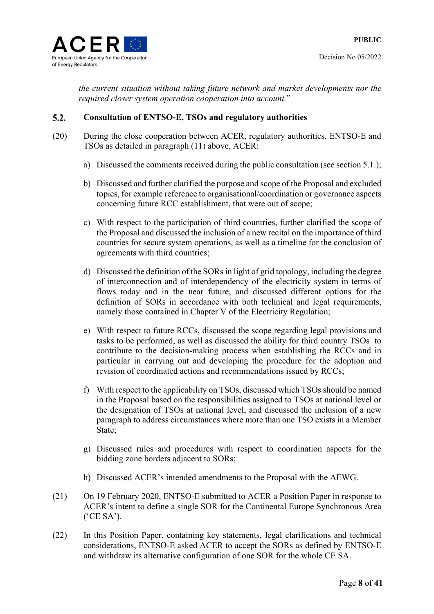*the current situation without taking future network and market developments nor the required closer system operation cooperation into account.*"

#### $5.2.$ **Consultation of ENTSO-E, TSOs and regulatory authorities**

- (20) During the close cooperation between ACER, regulatory authorities, ENTSO-E and TSOs as detailed in paragraph (11) above, ACER:
	- a) Discussed the comments received during the public consultation (see section 5.1.);
	- b) Discussed and further clarified the purpose and scope of the Proposal and excluded topics, for example reference to organisational/coordination or governance aspects concerning future RCC establishment, that were out of scope;
	- c) With respect to the participation of third countries, further clarified the scope of the Proposal and discussed the inclusion of a new recital on the importance of third countries for secure system operations, as well as a timeline for the conclusion of agreements with third countries;
	- d) Discussed the definition of the SORs in light of grid topology, including the degree of interconnection and of interdependency of the electricity system in terms of flows today and in the near future, and discussed different options for the definition of SORs in accordance with both technical and legal requirements, namely those contained in Chapter V of the Electricity Regulation;
	- e) With respect to future RCCs, discussed the scope regarding legal provisions and tasks to be performed, as well as discussed the ability for third country TSOs to contribute to the decision-making process when establishing the RCCs and in particular in carrying out and developing the procedure for the adoption and revision of coordinated actions and recommendations issued by RCCs;
	- f) With respect to the applicability on TSOs, discussed which TSOs should be named in the Proposal based on the responsibilities assigned to TSOs at national level or the designation of TSOs at national level, and discussed the inclusion of a new paragraph to address circumstances where more than one TSO exists in a Member State;
	- g) Discussed rules and procedures with respect to coordination aspects for the bidding zone borders adjacent to SORs;
	- h) Discussed ACER's intended amendments to the Proposal with the AEWG.
- (21) On 19 February 2020, ENTSO-E submitted to ACER a Position Paper in response to ACER's intent to define a single SOR for the Continental Europe Synchronous Area ('CE SA').
- (22) In this Position Paper, containing key statements, legal clarifications and technical considerations, ENTSO-E asked ACER to accept the SORs as defined by ENTSO-E and withdraw its alternative configuration of one SOR for the whole CE SA.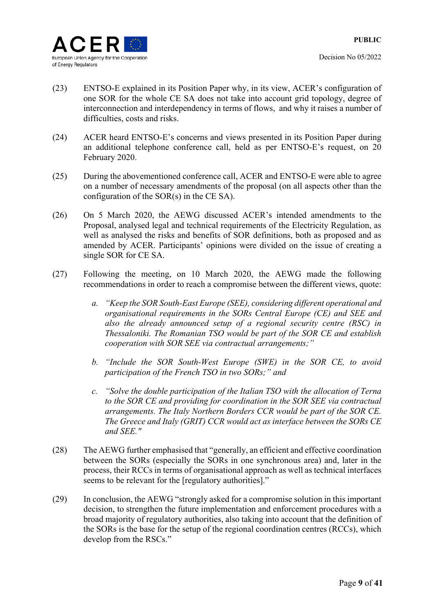

- (23) ENTSO-E explained in its Position Paper why, in its view, ACER's configuration of one SOR for the whole CE SA does not take into account grid topology, degree of interconnection and interdependency in terms of flows, and why it raises a number of difficulties, costs and risks.
- (24) ACER heard ENTSO-E's concerns and views presented in its Position Paper during an additional telephone conference call, held as per ENTSO-E's request, on 20 February 2020.
- (25) During the abovementioned conference call, ACER and ENTSO-E were able to agree on a number of necessary amendments of the proposal (on all aspects other than the configuration of the SOR(s) in the CE SA).
- (26) On 5 March 2020, the AEWG discussed ACER's intended amendments to the Proposal, analysed legal and technical requirements of the Electricity Regulation, as well as analysed the risks and benefits of SOR definitions, both as proposed and as amended by ACER. Participants' opinions were divided on the issue of creating a single SOR for CE SA.
- (27) Following the meeting, on 10 March 2020, the AEWG made the following recommendations in order to reach a compromise between the different views, quote:
	- *a. "Keep the SOR South-East Europe (SEE), considering different operational and organisational requirements in the SORs Central Europe (CE) and SEE and also the already announced setup of a regional security centre (RSC) in Thessaloniki. The Romanian TSO would be part of the SOR CE and establish cooperation with SOR SEE via contractual arrangements;"*
	- *b. "Include the SOR South-West Europe (SWE) in the SOR CE, to avoid participation of the French TSO in two SORs;" and*
	- *c. "Solve the double participation of the Italian TSO with the allocation of Terna to the SOR CE and providing for coordination in the SOR SEE via contractual arrangements. The Italy Northern Borders CCR would be part of the SOR CE. The Greece and Italy (GRIT) CCR would act as interface between the SORs CE and SEE."*
- (28) The AEWG further emphasised that "generally, an efficient and effective coordination between the SORs (especially the SORs in one synchronous area) and, later in the process, their RCCs in terms of organisational approach as well as technical interfaces seems to be relevant for the [regulatory authorities]."
- (29) In conclusion, the AEWG "strongly asked for a compromise solution in this important decision, to strengthen the future implementation and enforcement procedures with a broad majority of regulatory authorities, also taking into account that the definition of the SORs is the base for the setup of the regional coordination centres (RCCs), which develop from the RSCs."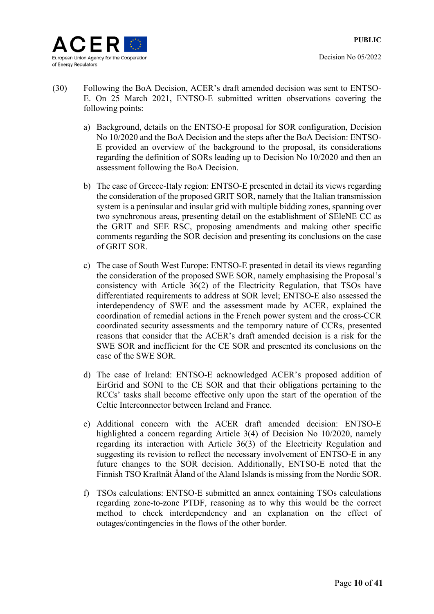

- (30) Following the BoA Decision, ACER's draft amended decision was sent to ENTSO-E. On 25 March 2021, ENTSO-E submitted written observations covering the following points:
	- a) Background, details on the ENTSO-E proposal for SOR configuration, Decision No 10/2020 and the BoA Decision and the steps after the BoA Decision: ENTSO-E provided an overview of the background to the proposal, its considerations regarding the definition of SORs leading up to Decision No 10/2020 and then an assessment following the BoA Decision.
	- b) The case of Greece-Italy region: ENTSO-E presented in detail its views regarding the consideration of the proposed GRIT SOR, namely that the Italian transmission system is a peninsular and insular grid with multiple bidding zones, spanning over two synchronous areas, presenting detail on the establishment of SEleNE CC as the GRIT and SEE RSC, proposing amendments and making other specific comments regarding the SOR decision and presenting its conclusions on the case of GRIT SOR.
	- c) The case of South West Europe: ENTSO-E presented in detail its views regarding the consideration of the proposed SWE SOR, namely emphasising the Proposal's consistency with Article 36(2) of the Electricity Regulation, that TSOs have differentiated requirements to address at SOR level; ENTSO-E also assessed the interdependency of SWE and the assessment made by ACER, explained the coordination of remedial actions in the French power system and the cross-CCR coordinated security assessments and the temporary nature of CCRs, presented reasons that consider that the ACER's draft amended decision is a risk for the SWE SOR and inefficient for the CE SOR and presented its conclusions on the case of the SWE SOR.
	- d) The case of Ireland: ENTSO-E acknowledged ACER's proposed addition of EirGrid and SONI to the CE SOR and that their obligations pertaining to the RCCs' tasks shall become effective only upon the start of the operation of the Celtic Interconnector between Ireland and France.
	- e) Additional concern with the ACER draft amended decision: ENTSO-E highlighted a concern regarding Article 3(4) of Decision No 10/2020, namely regarding its interaction with Article 36(3) of the Electricity Regulation and suggesting its revision to reflect the necessary involvement of ENTSO-E in any future changes to the SOR decision. Additionally, ENTSO-E noted that the Finnish TSO Kraftnät Åland of the Aland Islands is missing from the Nordic SOR.
	- f) TSOs calculations: ENTSO-E submitted an annex containing TSOs calculations regarding zone-to-zone PTDF, reasoning as to why this would be the correct method to check interdependency and an explanation on the effect of outages/contingencies in the flows of the other border.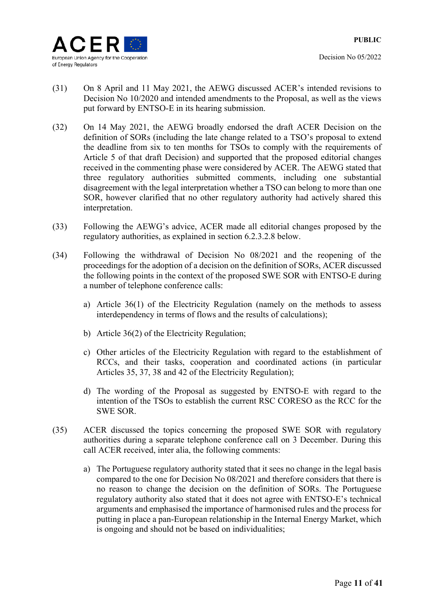

- (31) On 8 April and 11 May 2021, the AEWG discussed ACER's intended revisions to Decision No 10/2020 and intended amendments to the Proposal, as well as the views put forward by ENTSO-E in its hearing submission.
- (32) On 14 May 2021, the AEWG broadly endorsed the draft ACER Decision on the definition of SORs (including the late change related to a TSO's proposal to extend the deadline from six to ten months for TSOs to comply with the requirements of Article 5 of that draft Decision) and supported that the proposed editorial changes received in the commenting phase were considered by ACER. The AEWG stated that three regulatory authorities submitted comments, including one substantial disagreement with the legal interpretation whether a TSO can belong to more than one SOR, however clarified that no other regulatory authority had actively shared this interpretation.
- (33) Following the AEWG's advice, ACER made all editorial changes proposed by the regulatory authorities, as explained in section 6.2.3.2.8 below.
- (34) Following the withdrawal of Decision No 08/2021 and the reopening of the proceedings for the adoption of a decision on the definition of SORs, ACER discussed the following points in the context of the proposed SWE SOR with ENTSO-E during a number of telephone conference calls:
	- a) Article 36(1) of the Electricity Regulation (namely on the methods to assess interdependency in terms of flows and the results of calculations);
	- b) Article 36(2) of the Electricity Regulation;
	- c) Other articles of the Electricity Regulation with regard to the establishment of RCCs, and their tasks, cooperation and coordinated actions (in particular Articles 35, 37, 38 and 42 of the Electricity Regulation);
	- d) The wording of the Proposal as suggested by ENTSO-E with regard to the intention of the TSOs to establish the current RSC CORESO as the RCC for the SWE SOR.
- (35) ACER discussed the topics concerning the proposed SWE SOR with regulatory authorities during a separate telephone conference call on 3 December. During this call ACER received, inter alia, the following comments:
	- a) The Portuguese regulatory authority stated that it sees no change in the legal basis compared to the one for Decision No 08/2021 and therefore considers that there is no reason to change the decision on the definition of SORs. The Portuguese regulatory authority also stated that it does not agree with ENTSO-E's technical arguments and emphasised the importance of harmonised rules and the process for putting in place a pan-European relationship in the Internal Energy Market, which is ongoing and should not be based on individualities;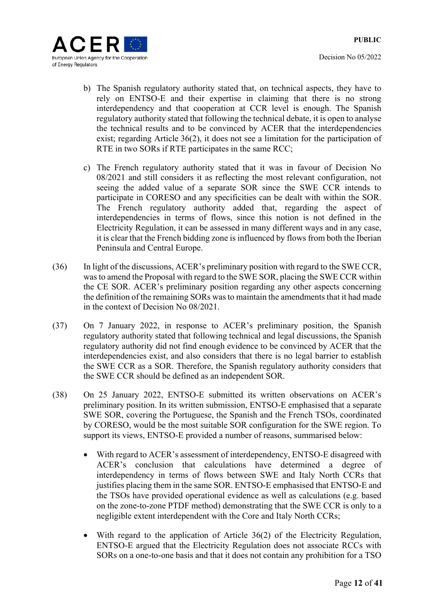

- b) The Spanish regulatory authority stated that, on technical aspects, they have to rely on ENTSO-E and their expertise in claiming that there is no strong interdependency and that cooperation at CCR level is enough. The Spanish regulatory authority stated that following the technical debate, it is open to analyse the technical results and to be convinced by ACER that the interdependencies exist; regarding Article 36(2), it does not see a limitation for the participation of RTE in two SORs if RTE participates in the same RCC;
- c) The French regulatory authority stated that it was in favour of Decision No 08/2021 and still considers it as reflecting the most relevant configuration, not seeing the added value of a separate SOR since the SWE CCR intends to participate in CORESO and any specificities can be dealt with within the SOR. The French regulatory authority added that, regarding the aspect of interdependencies in terms of flows, since this notion is not defined in the Electricity Regulation, it can be assessed in many different ways and in any case, it is clear that the French bidding zone is influenced by flows from both the Iberian Peninsula and Central Europe.
- (36) In light of the discussions, ACER's preliminary position with regard to the SWE CCR, was to amend the Proposal with regard to the SWE SOR, placing the SWE CCR within the CE SOR. ACER's preliminary position regarding any other aspects concerning the definition of the remaining SORs was to maintain the amendments that it had made in the context of Decision No 08/2021.
- (37) On 7 January 2022, in response to ACER's preliminary position, the Spanish regulatory authority stated that following technical and legal discussions, the Spanish regulatory authority did not find enough evidence to be convinced by ACER that the interdependencies exist, and also considers that there is no legal barrier to establish the SWE CCR as a SOR. Therefore, the Spanish regulatory authority considers that the SWE CCR should be defined as an independent SOR.
- (38) On 25 January 2022, ENTSO-E submitted its written observations on ACER's preliminary position. In its written submission, ENTSO-E emphasised that a separate SWE SOR, covering the Portuguese, the Spanish and the French TSOs, coordinated by CORESO, would be the most suitable SOR configuration for the SWE region. To support its views, ENTSO-E provided a number of reasons, summarised below:
	- With regard to ACER's assessment of interdependency, ENTSO-E disagreed with ACER's conclusion that calculations have determined a degree of interdependency in terms of flows between SWE and Italy North CCRs that justifies placing them in the same SOR. ENTSO-E emphasised that ENTSO-E and the TSOs have provided operational evidence as well as calculations (e.g. based on the zone-to-zone PTDF method) demonstrating that the SWE CCR is only to a negligible extent interdependent with the Core and Italy North CCRs;
	- With regard to the application of Article 36(2) of the Electricity Regulation, ENTSO-E argued that the Electricity Regulation does not associate RCCs with SORs on a one-to-one basis and that it does not contain any prohibition for a TSO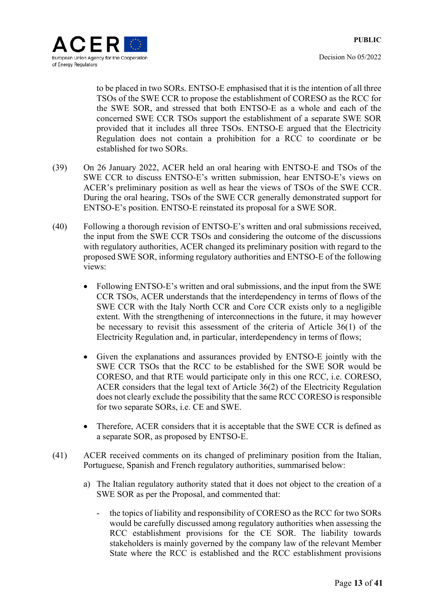

to be placed in two SORs. ENTSO-E emphasised that it is the intention of all three TSOs of the SWE CCR to propose the establishment of CORESO as the RCC for the SWE SOR, and stressed that both ENTSO-E as a whole and each of the concerned SWE CCR TSOs support the establishment of a separate SWE SOR provided that it includes all three TSOs. ENTSO-E argued that the Electricity Regulation does not contain a prohibition for a RCC to coordinate or be established for two SORs.

- (39) On 26 January 2022, ACER held an oral hearing with ENTSO-E and TSOs of the SWE CCR to discuss ENTSO-E's written submission, hear ENTSO-E's views on ACER's preliminary position as well as hear the views of TSOs of the SWE CCR. During the oral hearing, TSOs of the SWE CCR generally demonstrated support for ENTSO-E's position. ENTSO-E reinstated its proposal for a SWE SOR.
- (40) Following a thorough revision of ENTSO-E's written and oral submissions received, the input from the SWE CCR TSOs and considering the outcome of the discussions with regulatory authorities, ACER changed its preliminary position with regard to the proposed SWE SOR, informing regulatory authorities and ENTSO-E of the following views:
	- Following ENTSO-E's written and oral submissions, and the input from the SWE CCR TSOs, ACER understands that the interdependency in terms of flows of the SWE CCR with the Italy North CCR and Core CCR exists only to a negligible extent. With the strengthening of interconnections in the future, it may however be necessary to revisit this assessment of the criteria of Article 36(1) of the Electricity Regulation and, in particular, interdependency in terms of flows;
	- Given the explanations and assurances provided by ENTSO-E jointly with the SWE CCR TSOs that the RCC to be established for the SWE SOR would be CORESO, and that RTE would participate only in this one RCC, i.e. CORESO, ACER considers that the legal text of Article 36(2) of the Electricity Regulation does not clearly exclude the possibility that the same RCC CORESO is responsible for two separate SORs, i.e. CE and SWE.
	- Therefore, ACER considers that it is acceptable that the SWE CCR is defined as a separate SOR, as proposed by ENTSO-E.
- (41) ACER received comments on its changed of preliminary position from the Italian, Portuguese, Spanish and French regulatory authorities, summarised below:
	- a) The Italian regulatory authority stated that it does not object to the creation of a SWE SOR as per the Proposal, and commented that:
		- the topics of liability and responsibility of CORESO as the RCC for two SORs would be carefully discussed among regulatory authorities when assessing the RCC establishment provisions for the CE SOR. The liability towards stakeholders is mainly governed by the company law of the relevant Member State where the RCC is established and the RCC establishment provisions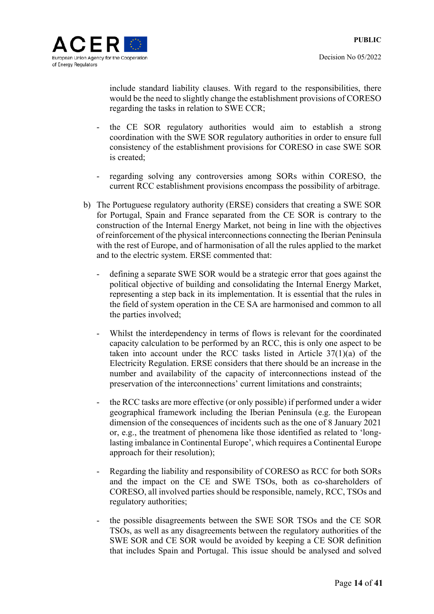

include standard liability clauses. With regard to the responsibilities, there would be the need to slightly change the establishment provisions of CORESO regarding the tasks in relation to SWE CCR;

- the CE SOR regulatory authorities would aim to establish a strong coordination with the SWE SOR regulatory authorities in order to ensure full consistency of the establishment provisions for CORESO in case SWE SOR is created;
- regarding solving any controversies among SORs within CORESO, the current RCC establishment provisions encompass the possibility of arbitrage.
- b) The Portuguese regulatory authority (ERSE) considers that creating a SWE SOR for Portugal, Spain and France separated from the CE SOR is contrary to the construction of the Internal Energy Market, not being in line with the objectives of reinforcement of the physical interconnections connecting the Iberian Peninsula with the rest of Europe, and of harmonisation of all the rules applied to the market and to the electric system. ERSE commented that:
	- defining a separate SWE SOR would be a strategic error that goes against the political objective of building and consolidating the Internal Energy Market, representing a step back in its implementation. It is essential that the rules in the field of system operation in the CE SA are harmonised and common to all the parties involved;
	- Whilst the interdependency in terms of flows is relevant for the coordinated capacity calculation to be performed by an RCC, this is only one aspect to be taken into account under the RCC tasks listed in Article 37(1)(a) of the Electricity Regulation. ERSE considers that there should be an increase in the number and availability of the capacity of interconnections instead of the preservation of the interconnections' current limitations and constraints;
	- the RCC tasks are more effective (or only possible) if performed under a wider geographical framework including the Iberian Peninsula (e.g. the European dimension of the consequences of incidents such as the one of 8 January 2021 or, e.g., the treatment of phenomena like those identified as related to 'longlasting imbalance in Continental Europe', which requires a Continental Europe approach for their resolution);
	- Regarding the liability and responsibility of CORESO as RCC for both SORs and the impact on the CE and SWE TSOs, both as co-shareholders of CORESO, all involved parties should be responsible, namely, RCC, TSOs and regulatory authorities;
	- the possible disagreements between the SWE SOR TSOs and the CE SOR TSOs, as well as any disagreements between the regulatory authorities of the SWE SOR and CE SOR would be avoided by keeping a CE SOR definition that includes Spain and Portugal. This issue should be analysed and solved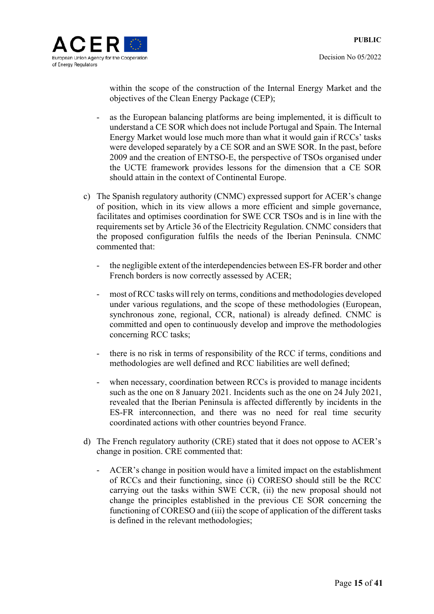

within the scope of the construction of the Internal Energy Market and the objectives of the Clean Energy Package (CEP);

- as the European balancing platforms are being implemented, it is difficult to understand a CE SOR which does not include Portugal and Spain. The Internal Energy Market would lose much more than what it would gain if RCCs' tasks were developed separately by a CE SOR and an SWE SOR. In the past, before 2009 and the creation of ENTSO-E, the perspective of TSOs organised under the UCTE framework provides lessons for the dimension that a CE SOR should attain in the context of Continental Europe.
- c) The Spanish regulatory authority (CNMC) expressed support for ACER's change of position, which in its view allows a more efficient and simple governance, facilitates and optimises coordination for SWE CCR TSOs and is in line with the requirements set by Article 36 of the Electricity Regulation. CNMC considers that the proposed configuration fulfils the needs of the Iberian Peninsula. CNMC commented that:
	- the negligible extent of the interdependencies between ES-FR border and other French borders is now correctly assessed by ACER;
	- most of RCC tasks will rely on terms, conditions and methodologies developed under various regulations, and the scope of these methodologies (European, synchronous zone, regional, CCR, national) is already defined. CNMC is committed and open to continuously develop and improve the methodologies concerning RCC tasks;
	- there is no risk in terms of responsibility of the RCC if terms, conditions and methodologies are well defined and RCC liabilities are well defined;
	- when necessary, coordination between RCCs is provided to manage incidents such as the one on 8 January 2021. Incidents such as the one on 24 July 2021, revealed that the Iberian Peninsula is affected differently by incidents in the ES-FR interconnection, and there was no need for real time security coordinated actions with other countries beyond France.
- d) The French regulatory authority (CRE) stated that it does not oppose to ACER's change in position. CRE commented that:
	- ACER's change in position would have a limited impact on the establishment of RCCs and their functioning, since (i) CORESO should still be the RCC carrying out the tasks within SWE CCR, (ii) the new proposal should not change the principles established in the previous CE SOR concerning the functioning of CORESO and (iii) the scope of application of the different tasks is defined in the relevant methodologies;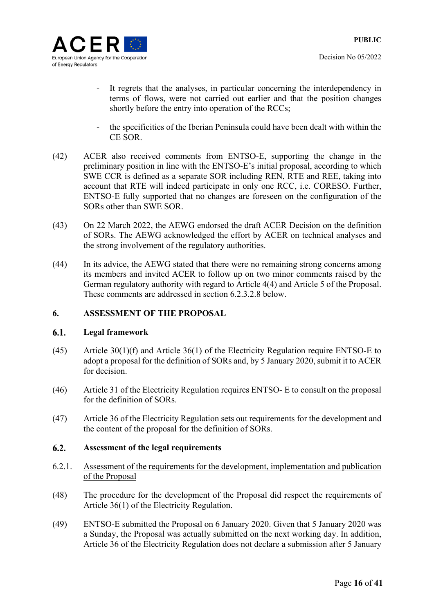



- It regrets that the analyses, in particular concerning the interdependency in terms of flows, were not carried out earlier and that the position changes shortly before the entry into operation of the RCCs;
- the specificities of the Iberian Peninsula could have been dealt with within the CE SOR.
- (42) ACER also received comments from ENTSO-E, supporting the change in the preliminary position in line with the ENTSO-E's initial proposal, according to which SWE CCR is defined as a separate SOR including REN, RTE and REE, taking into account that RTE will indeed participate in only one RCC, i.e. CORESO. Further, ENTSO-E fully supported that no changes are foreseen on the configuration of the SORs other than SWE SOR.
- (43) On 22 March 2022, the AEWG endorsed the draft ACER Decision on the definition of SORs. The AEWG acknowledged the effort by ACER on technical analyses and the strong involvement of the regulatory authorities.
- (44) In its advice, the AEWG stated that there were no remaining strong concerns among its members and invited ACER to follow up on two minor comments raised by the German regulatory authority with regard to Article 4(4) and Article 5 of the Proposal. These comments are addressed in section 6.2.3.2.8 below.

### **6. ASSESSMENT OF THE PROPOSAL**

#### $6.1.$ **Legal framework**

- (45) Article 30(1)(f) and Article 36(1) of the Electricity Regulation require ENTSO-E to adopt a proposal for the definition of SORs and, by 5 January 2020, submit it to ACER for decision.
- (46) Article 31 of the Electricity Regulation requires ENTSO- E to consult on the proposal for the definition of SORs.
- (47) Article 36 of the Electricity Regulation sets out requirements for the development and the content of the proposal for the definition of SORs.

#### $6.2.$ **Assessment of the legal requirements**

- 6.2.1. Assessment of the requirements for the development, implementation and publication of the Proposal
- (48) The procedure for the development of the Proposal did respect the requirements of Article 36(1) of the Electricity Regulation.
- (49) ENTSO-E submitted the Proposal on 6 January 2020. Given that 5 January 2020 was a Sunday, the Proposal was actually submitted on the next working day. In addition, Article 36 of the Electricity Regulation does not declare a submission after 5 January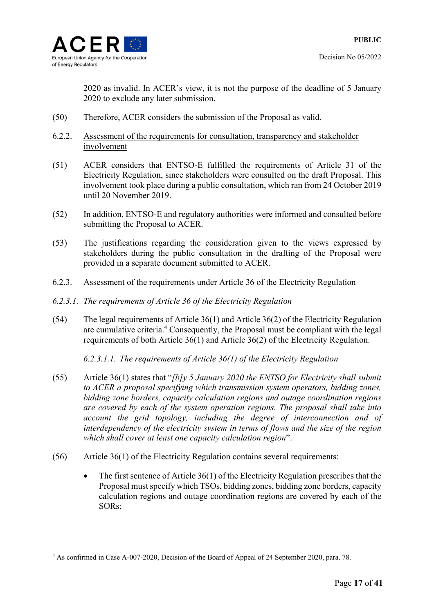

<u>.</u>

Decision No 05/2022

2020 as invalid. In ACER's view, it is not the purpose of the deadline of 5 January 2020 to exclude any later submission.

- (50) Therefore, ACER considers the submission of the Proposal as valid.
- 6.2.2. Assessment of the requirements for consultation, transparency and stakeholder involvement
- (51) ACER considers that ENTSO-E fulfilled the requirements of Article 31 of the Electricity Regulation, since stakeholders were consulted on the draft Proposal. This involvement took place during a public consultation, which ran from 24 October 2019 until 20 November 2019.
- (52) In addition, ENTSO-E and regulatory authorities were informed and consulted before submitting the Proposal to ACER.
- (53) The justifications regarding the consideration given to the views expressed by stakeholders during the public consultation in the drafting of the Proposal were provided in a separate document submitted to ACER.
- 6.2.3. Assessment of the requirements under Article 36 of the Electricity Regulation
- *6.2.3.1. The requirements of Article 36 of the Electricity Regulation*
- (54) The legal requirements of Article 36(1) and Article 36(2) of the Electricity Regulation are cumulative criteria.<sup>4</sup> Consequently, the Proposal must be compliant with the legal requirements of both Article 36(1) and Article 36(2) of the Electricity Regulation.

*6.2.3.1.1. The requirements of Article 36(1) of the Electricity Regulation* 

- (55) Article 36(1) states that "*[b]y 5 January 2020 the ENTSO for Electricity shall submit to ACER a proposal specifying which transmission system operators, bidding zones, bidding zone borders, capacity calculation regions and outage coordination regions are covered by each of the system operation regions. The proposal shall take into account the grid topology, including the degree of interconnection and of interdependency of the electricity system in terms of flows and the size of the region which shall cover at least one capacity calculation region*".
- (56) Article 36(1) of the Electricity Regulation contains several requirements:
	- $\bullet$  The first sentence of Article 36(1) of the Electricity Regulation prescribes that the Proposal must specify which TSOs, bidding zones, bidding zone borders, capacity calculation regions and outage coordination regions are covered by each of the SORs;

<sup>4</sup> As confirmed in Case A-007-2020, Decision of the Board of Appeal of 24 September 2020, para. 78.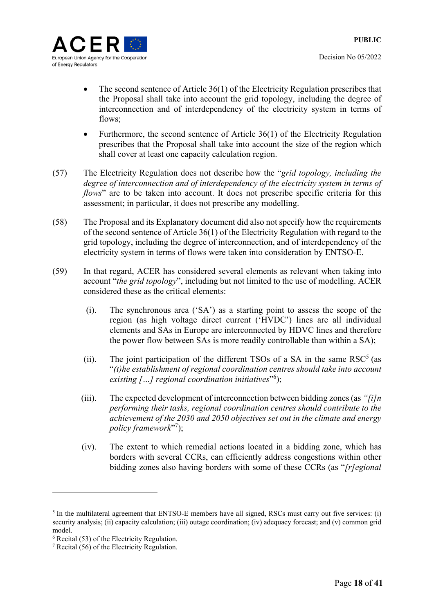

- The second sentence of Article 36(1) of the Electricity Regulation prescribes that the Proposal shall take into account the grid topology, including the degree of interconnection and of interdependency of the electricity system in terms of flows:
- Furthermore, the second sentence of Article  $36(1)$  of the Electricity Regulation prescribes that the Proposal shall take into account the size of the region which shall cover at least one capacity calculation region.
- (57) The Electricity Regulation does not describe how the "*grid topology, including the degree of interconnection and of interdependency of the electricity system in terms of flows*" are to be taken into account. It does not prescribe specific criteria for this assessment; in particular, it does not prescribe any modelling.
- (58) The Proposal and its Explanatory document did also not specify how the requirements of the second sentence of Article 36(1) of the Electricity Regulation with regard to the grid topology, including the degree of interconnection, and of interdependency of the electricity system in terms of flows were taken into consideration by ENTSO-E.
- (59) In that regard, ACER has considered several elements as relevant when taking into account "*the grid topology*", including but not limited to the use of modelling. ACER considered these as the critical elements:
	- (i). The synchronous area ('SA') as a starting point to assess the scope of the region (as high voltage direct current ('HVDC') lines are all individual elements and SAs in Europe are interconnected by HDVC lines and therefore the power flow between SAs is more readily controllable than within a SA);
	- (ii). The joint participation of the different TSOs of a SA in the same  $RSC<sup>5</sup>$  (as "*(t)he establishment of regional coordination centres should take into account existing […] regional coordination initiatives*"6 );
	- (iii). The expected development of interconnection between bidding zones (as *"[i]n performing their tasks, regional coordination centres should contribute to the achievement of the 2030 and 2050 objectives set out in the climate and energy*  policy framework"<sup>7</sup>);
	- (iv). The extent to which remedial actions located in a bidding zone, which has borders with several CCRs, can efficiently address congestions within other bidding zones also having borders with some of these CCRs (as "*[r]egional*

<sup>&</sup>lt;sup>5</sup> In the multilateral agreement that ENTSO-E members have all signed, RSCs must carry out five services: (i) security analysis; (ii) capacity calculation; (iii) outage coordination; (iv) adequacy forecast; and (v) common grid model.

<sup>6</sup> Recital (53) of the Electricity Regulation.

<sup>7</sup> Recital (56) of the Electricity Regulation.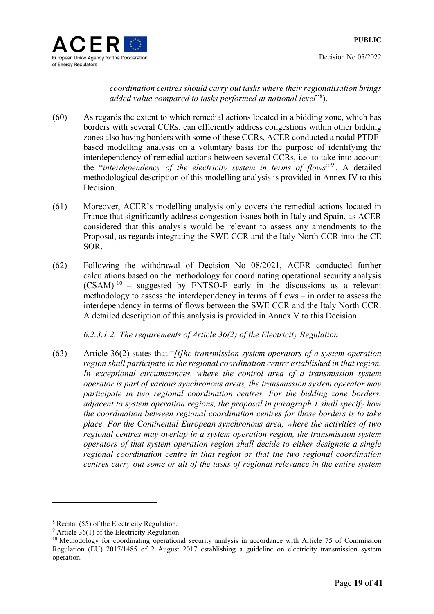

*coordination centres should carry out tasks where their regionalisation brings*  added value compared to tasks performed at national level<sup>"8</sup>).

- (60) As regards the extent to which remedial actions located in a bidding zone, which has borders with several CCRs, can efficiently address congestions within other bidding zones also having borders with some of these CCRs, ACER conducted a nodal PTDFbased modelling analysis on a voluntary basis for the purpose of identifying the interdependency of remedial actions between several CCRs, i.e. to take into account the "*interdependency of the electricity system in terms of flows*"<sup>9</sup>. A detailed methodological description of this modelling analysis is provided in Annex IV to this Decision.
- (61) Moreover, ACER's modelling analysis only covers the remedial actions located in France that significantly address congestion issues both in Italy and Spain, as ACER considered that this analysis would be relevant to assess any amendments to the Proposal, as regards integrating the SWE CCR and the Italy North CCR into the CE SOR.
- (62) Following the withdrawal of Decision No 08/2021, ACER conducted further calculations based on the methodology for coordinating operational security analysis  $(CSAM)^{10}$  – suggested by ENTSO-E early in the discussions as a relevant methodology to assess the interdependency in terms of flows – in order to assess the interdependency in terms of flows between the SWE CCR and the Italy North CCR. A detailed description of this analysis is provided in Annex V to this Decision.

*6.2.3.1.2. The requirements of Article 36(2) of the Electricity Regulation* 

(63) Article 36(2) states that "*[t]he transmission system operators of a system operation region shall participate in the regional coordination centre established in that region. In exceptional circumstances, where the control area of a transmission system operator is part of various synchronous areas, the transmission system operator may participate in two regional coordination centres. For the bidding zone borders, adjacent to system operation regions, the proposal in paragraph 1 shall specify how the coordination between regional coordination centres for those borders is to take place. For the Continental European synchronous area, where the activities of two regional centres may overlap in a system operation region, the transmission system operators of that system operation region shall decide to either designate a single regional coordination centre in that region or that the two regional coordination centres carry out some or all of the tasks of regional relevance in the entire system* 

1

<sup>8</sup> Recital (55) of the Electricity Regulation.

 $9$  Article 36(1) of the Electricity Regulation.

<sup>&</sup>lt;sup>10</sup> Methodology for coordinating operational security analysis in accordance with Article 75 of Commission Regulation (EU) 2017/1485 of 2 August 2017 establishing a guideline on electricity transmission system operation.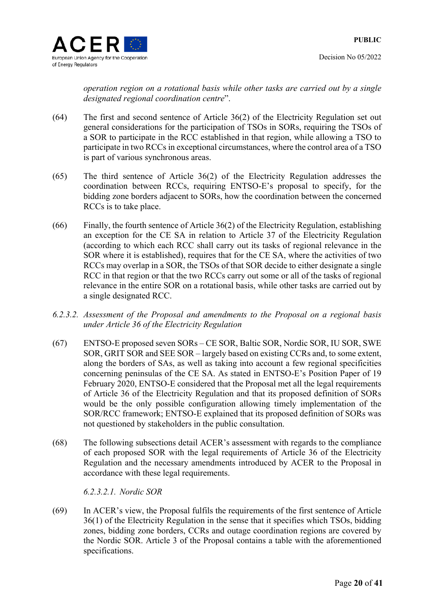*operation region on a rotational basis while other tasks are carried out by a single designated regional coordination centre*".

- (64) The first and second sentence of Article 36(2) of the Electricity Regulation set out general considerations for the participation of TSOs in SORs, requiring the TSOs of a SOR to participate in the RCC established in that region, while allowing a TSO to participate in two RCCs in exceptional circumstances, where the control area of a TSO is part of various synchronous areas.
- (65) The third sentence of Article 36(2) of the Electricity Regulation addresses the coordination between RCCs, requiring ENTSO-E's proposal to specify, for the bidding zone borders adjacent to SORs, how the coordination between the concerned RCCs is to take place.
- (66) Finally, the fourth sentence of Article 36(2) of the Electricity Regulation, establishing an exception for the CE SA in relation to Article 37 of the Electricity Regulation (according to which each RCC shall carry out its tasks of regional relevance in the SOR where it is established), requires that for the CE SA, where the activities of two RCCs may overlap in a SOR, the TSOs of that SOR decide to either designate a single RCC in that region or that the two RCCs carry out some or all of the tasks of regional relevance in the entire SOR on a rotational basis, while other tasks are carried out by a single designated RCC.
- *6.2.3.2. Assessment of the Proposal and amendments to the Proposal on a regional basis under Article 36 of the Electricity Regulation*
- (67) ENTSO-E proposed seven SORs CE SOR, Baltic SOR, Nordic SOR, IU SOR, SWE SOR, GRIT SOR and SEE SOR – largely based on existing CCRs and, to some extent, along the borders of SAs, as well as taking into account a few regional specificities concerning peninsulas of the CE SA. As stated in ENTSO-E's Position Paper of 19 February 2020, ENTSO-E considered that the Proposal met all the legal requirements of Article 36 of the Electricity Regulation and that its proposed definition of SORs would be the only possible configuration allowing timely implementation of the SOR/RCC framework; ENTSO-E explained that its proposed definition of SORs was not questioned by stakeholders in the public consultation.
- (68) The following subsections detail ACER's assessment with regards to the compliance of each proposed SOR with the legal requirements of Article 36 of the Electricity Regulation and the necessary amendments introduced by ACER to the Proposal in accordance with these legal requirements.

*6.2.3.2.1. Nordic SOR* 

(69) In ACER's view, the Proposal fulfils the requirements of the first sentence of Article 36(1) of the Electricity Regulation in the sense that it specifies which TSOs, bidding zones, bidding zone borders, CCRs and outage coordination regions are covered by the Nordic SOR. Article 3 of the Proposal contains a table with the aforementioned specifications.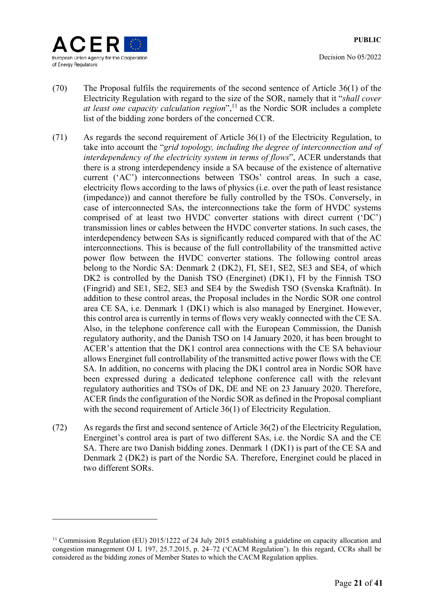

Decision No 05/2022

- (70) The Proposal fulfils the requirements of the second sentence of Article 36(1) of the Electricity Regulation with regard to the size of the SOR, namely that it "*shall cover at least one capacity calculation region*",<sup>11</sup> as the Nordic SOR includes a complete list of the bidding zone borders of the concerned CCR.
- (71) As regards the second requirement of Article 36(1) of the Electricity Regulation, to take into account the "*grid topology, including the degree of interconnection and of interdependency of the electricity system in terms of flows*", ACER understands that there is a strong interdependency inside a SA because of the existence of alternative current ('AC') interconnections between TSOs' control areas. In such a case, electricity flows according to the laws of physics (i.e. over the path of least resistance (impedance)) and cannot therefore be fully controlled by the TSOs. Conversely, in case of interconnected SAs, the interconnections take the form of HVDC systems comprised of at least two HVDC converter stations with direct current ('DC') transmission lines or cables between the HVDC converter stations. In such cases, the interdependency between SAs is significantly reduced compared with that of the AC interconnections. This is because of the full controllability of the transmitted active power flow between the HVDC converter stations. The following control areas belong to the Nordic SA: Denmark 2 (DK2), FI, SE1, SE2, SE3 and SE4, of which DK2 is controlled by the Danish TSO (Energinet) (DK1), FI by the Finnish TSO (Fingrid) and SE1, SE2, SE3 and SE4 by the Swedish TSO (Svenska Kraftnät). In addition to these control areas, the Proposal includes in the Nordic SOR one control area CE SA, i.e. Denmark 1 (DK1) which is also managed by Energinet. However, this control area is currently in terms of flows very weakly connected with the CE SA. Also, in the telephone conference call with the European Commission, the Danish regulatory authority, and the Danish TSO on 14 January 2020, it has been brought to ACER's attention that the DK1 control area connections with the CE SA behaviour allows Energinet full controllability of the transmitted active power flows with the CE SA. In addition, no concerns with placing the DK1 control area in Nordic SOR have been expressed during a dedicated telephone conference call with the relevant regulatory authorities and TSOs of DK, DE and NE on 23 January 2020. Therefore, ACER finds the configuration of the Nordic SOR as defined in the Proposal compliant with the second requirement of Article 36(1) of Electricity Regulation.
- (72) As regards the first and second sentence of Article 36(2) of the Electricity Regulation, Energinet's control area is part of two different SAs, i.e. the Nordic SA and the CE SA. There are two Danish bidding zones. Denmark 1 (DK1) is part of the CE SA and Denmark 2 (DK2) is part of the Nordic SA. Therefore, Energinet could be placed in two different SORs.

<sup>&</sup>lt;sup>11</sup> Commission Regulation (EU) 2015/1222 of 24 July 2015 establishing a guideline on capacity allocation and congestion management OJ L 197, 25.7.2015, p. 24–72 ('CACM Regulation'). In this regard, CCRs shall be considered as the bidding zones of Member States to which the CACM Regulation applies.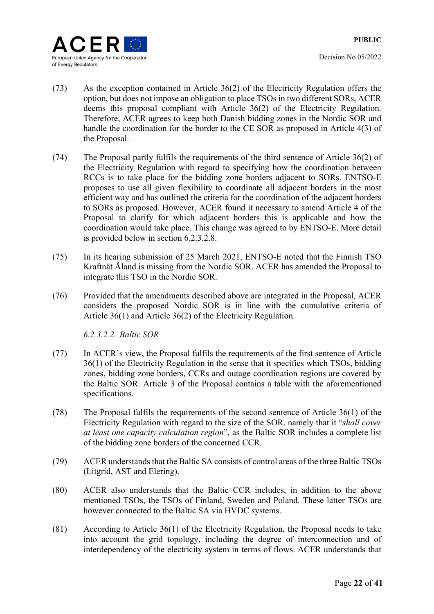

- (73) As the exception contained in Article 36(2) of the Electricity Regulation offers the option, but does not impose an obligation to place TSOs in two different SORs, ACER deems this proposal compliant with Article 36(2) of the Electricity Regulation. Therefore, ACER agrees to keep both Danish bidding zones in the Nordic SOR and handle the coordination for the border to the CE SOR as proposed in Article 4(3) of the Proposal.
- (74) The Proposal partly fulfils the requirements of the third sentence of Article 36(2) of the Electricity Regulation with regard to specifying how the coordination between RCCs is to take place for the bidding zone borders adjacent to SORs. ENTSO-E proposes to use all given flexibility to coordinate all adjacent borders in the most efficient way and has outlined the criteria for the coordination of the adjacent borders to SORs as proposed. However, ACER found it necessary to amend Article 4 of the Proposal to clarify for which adjacent borders this is applicable and how the coordination would take place. This change was agreed to by ENTSO-E. More detail is provided below in section 6.2.3.2.8.
- (75) In its hearing submission of 25 March 2021, ENTSO-E noted that the Finnish TSO Kraftnät Åland is missing from the Nordic SOR. ACER has amended the Proposal to integrate this TSO in the Nordic SOR.
- (76) Provided that the amendments described above are integrated in the Proposal, ACER considers the proposed Nordic SOR is in line with the cumulative criteria of Article 36(1) and Article 36(2) of the Electricity Regulation.

*6.2.3.2.2. Baltic SOR* 

- (77) In ACER's view, the Proposal fulfils the requirements of the first sentence of Article 36(1) of the Electricity Regulation in the sense that it specifies which TSOs, bidding zones, bidding zone borders, CCRs and outage coordination regions are covered by the Baltic SOR. Article 3 of the Proposal contains a table with the aforementioned specifications.
- (78) The Proposal fulfils the requirements of the second sentence of Article 36(1) of the Electricity Regulation with regard to the size of the SOR, namely that it "*shall cover at least one capacity calculation region*", as the Baltic SOR includes a complete list of the bidding zone borders of the concerned CCR.
- (79) ACER understands that the Baltic SA consists of control areas of the three Baltic TSOs (Litgrid, AST and Elering).
- (80) ACER also understands that the Baltic CCR includes, in addition to the above mentioned TSOs, the TSOs of Finland, Sweden and Poland. These latter TSOs are however connected to the Baltic SA via HVDC systems.
- (81) According to Article 36(1) of the Electricity Regulation, the Proposal needs to take into account the grid topology, including the degree of interconnection and of interdependency of the electricity system in terms of flows. ACER understands that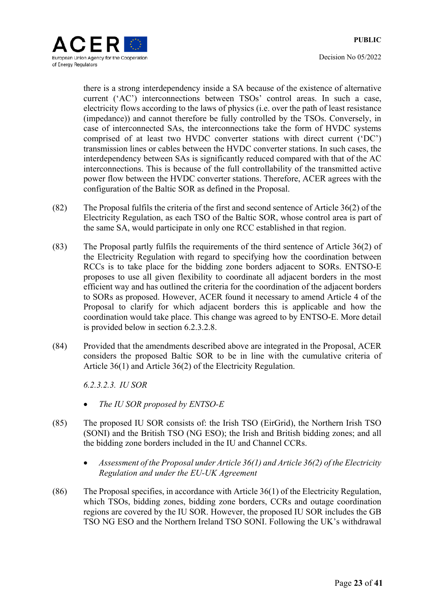

there is a strong interdependency inside a SA because of the existence of alternative current ('AC') interconnections between TSOs' control areas. In such a case, electricity flows according to the laws of physics (i.e. over the path of least resistance (impedance)) and cannot therefore be fully controlled by the TSOs. Conversely, in case of interconnected SAs, the interconnections take the form of HVDC systems comprised of at least two HVDC converter stations with direct current ('DC') transmission lines or cables between the HVDC converter stations. In such cases, the interdependency between SAs is significantly reduced compared with that of the AC interconnections. This is because of the full controllability of the transmitted active power flow between the HVDC converter stations. Therefore, ACER agrees with the configuration of the Baltic SOR as defined in the Proposal.

- (82) The Proposal fulfils the criteria of the first and second sentence of Article 36(2) of the Electricity Regulation, as each TSO of the Baltic SOR, whose control area is part of the same SA, would participate in only one RCC established in that region.
- (83) The Proposal partly fulfils the requirements of the third sentence of Article 36(2) of the Electricity Regulation with regard to specifying how the coordination between RCCs is to take place for the bidding zone borders adjacent to SORs. ENTSO-E proposes to use all given flexibility to coordinate all adjacent borders in the most efficient way and has outlined the criteria for the coordination of the adjacent borders to SORs as proposed. However, ACER found it necessary to amend Article 4 of the Proposal to clarify for which adjacent borders this is applicable and how the coordination would take place. This change was agreed to by ENTSO-E. More detail is provided below in section 6.2.3.2.8.
- (84) Provided that the amendments described above are integrated in the Proposal, ACER considers the proposed Baltic SOR to be in line with the cumulative criteria of Article 36(1) and Article 36(2) of the Electricity Regulation.

*6.2.3.2.3. IU SOR* 

- *The IU SOR proposed by ENTSO-E*
- (85) The proposed IU SOR consists of: the Irish TSO (EirGrid), the Northern Irish TSO (SONI) and the British TSO (NG ESO); the Irish and British bidding zones; and all the bidding zone borders included in the IU and Channel CCRs.
	- *Assessment of the Proposal under Article 36(1) and Article 36(2) of the Electricity Regulation and under the EU-UK Agreement*
- (86) The Proposal specifies, in accordance with Article 36(1) of the Electricity Regulation, which TSOs, bidding zones, bidding zone borders, CCRs and outage coordination regions are covered by the IU SOR. However, the proposed IU SOR includes the GB TSO NG ESO and the Northern Ireland TSO SONI. Following the UK's withdrawal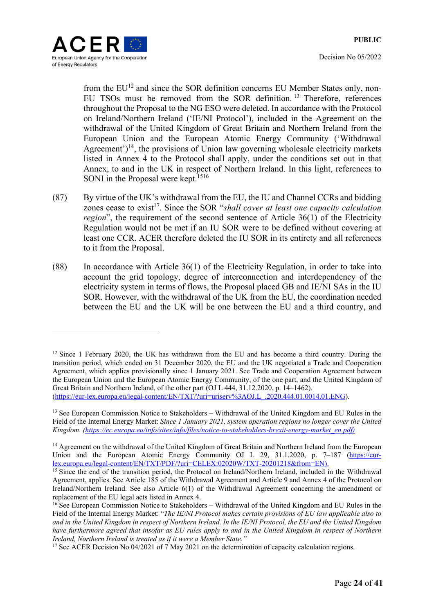

Decision No 05/2022

from the EU<sup>12</sup> and since the SOR definition concerns EU Member States only, non-EU TSOs must be removed from the SOR definition. 13 Therefore, references throughout the Proposal to the NG ESO were deleted. In accordance with the Protocol on Ireland/Northern Ireland ('IE/NI Protocol'), included in the Agreement on the withdrawal of the United Kingdom of Great Britain and Northern Ireland from the European Union and the European Atomic Energy Community ('Withdrawal Agreement')<sup>14</sup>, the provisions of Union law governing wholesale electricity markets listed in Annex 4 to the Protocol shall apply, under the conditions set out in that Annex, to and in the UK in respect of Northern Ireland. In this light, references to SONI in the Proposal were kept.<sup>1516</sup>

- (87) By virtue of the UK's withdrawal from the EU, the IU and Channel CCRs and bidding zones cease to exist<sup>17</sup>. Since the SOR "*shall cover at least one capacity calculation region*", the requirement of the second sentence of Article 36(1) of the Electricity Regulation would not be met if an IU SOR were to be defined without covering at least one CCR. ACER therefore deleted the IU SOR in its entirety and all references to it from the Proposal.
- (88) In accordance with Article 36(1) of the Electricity Regulation, in order to take into account the grid topology, degree of interconnection and interdependency of the electricity system in terms of flows, the Proposal placed GB and IE/NI SAs in the IU SOR. However, with the withdrawal of the UK from the EU, the coordination needed between the EU and the UK will be one between the EU and a third country, and

<sup>&</sup>lt;sup>12</sup> Since 1 February 2020, the UK has withdrawn from the EU and has become a third country. During the transition period, which ended on 31 December 2020, the EU and the UK negotiated a Trade and Cooperation Agreement, which applies provisionally since 1 January 2021. See Trade and Cooperation Agreement between the European Union and the European Atomic Energy Community, of the one part, and the United Kingdom of Great Britain and Northern Ireland, of the other part (OJ L 444, 31.12.2020, p. 14–1462). (https://eur-lex.europa.eu/legal-content/EN/TXT/?uri=uriserv%3AOJ.L\_.2020.444.01.0014.01.ENG).

<sup>&</sup>lt;sup>13</sup> See European Commission Notice to Stakeholders – Withdrawal of the United Kingdom and EU Rules in the Field of the Internal Energy Market: *Since 1 January 2021, system operation regions no longer cover the United Kingdom. (https://ec.europa.eu/info/sites/info/files/notice-to-stakeholders-brexit-energy-market\_en.pdf)* 

<sup>&</sup>lt;sup>14</sup> Agreement on the withdrawal of the United Kingdom of Great Britain and Northern Ireland from the European Union and the European Atomic Energy Community OJ L 29, 31.1.2020, p. 7-187 (https://eurlex.europa.eu/legal-content/EN/TXT/PDF/?uri=CELEX:02020W/TXT-20201218&from=EN).

<sup>&</sup>lt;sup>15</sup> Since the end of the transition period, the Protocol on Ireland/Northern Ireland, included in the Withdrawal Agreement, applies. See Article 185 of the Withdrawal Agreement and Article 9 and Annex 4 of the Protocol on Ireland/Northern Ireland. See also Article 6(1) of the Withdrawal Agreement concerning the amendment or replacement of the EU legal acts listed in Annex 4.

<sup>16</sup> See European Commission Notice to Stakeholders – Withdrawal of the United Kingdom and EU Rules in the Field of the Internal Energy Market: "*The IE/NI Protocol makes certain provisions of EU law applicable also to and in the United Kingdom in respect of Northern Ireland. In the IE/NI Protocol, the EU and the United Kingdom have furthermore agreed that insofar as EU rules apply to and in the United Kingdom in respect of Northern Ireland, Northern Ireland is treated as if it were a Member State."*

<sup>&</sup>lt;sup>17</sup> See ACER Decision No 04/2021 of  $\overline{7}$  May 2021 on the determination of capacity calculation regions.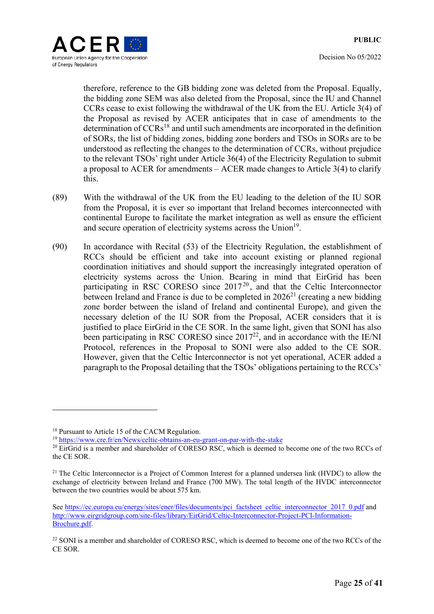

therefore, reference to the GB bidding zone was deleted from the Proposal. Equally, the bidding zone SEM was also deleted from the Proposal, since the IU and Channel CCRs cease to exist following the withdrawal of the UK from the EU. Article 3(4) of the Proposal as revised by ACER anticipates that in case of amendments to the determination of CCRs<sup>18</sup> and until such amendments are incorporated in the definition of SORs, the list of bidding zones, bidding zone borders and TSOs in SORs are to be understood as reflecting the changes to the determination of CCRs, without prejudice to the relevant TSOs' right under Article 36(4) of the Electricity Regulation to submit a proposal to ACER for amendments – ACER made changes to Article 3(4) to clarify this.

- (89) With the withdrawal of the UK from the EU leading to the deletion of the IU SOR from the Proposal, it is ever so important that Ireland becomes interconnected with continental Europe to facilitate the market integration as well as ensure the efficient and secure operation of electricity systems across the Union<sup>19</sup>.
- (90) In accordance with Recital (53) of the Electricity Regulation, the establishment of RCCs should be efficient and take into account existing or planned regional coordination initiatives and should support the increasingly integrated operation of electricity systems across the Union. Bearing in mind that EirGrid has been participating in RSC CORESO since 2017<sup>20</sup>, and that the Celtic Interconnector between Ireland and France is due to be completed in  $2026<sup>21</sup>$  (creating a new bidding zone border between the island of Ireland and continental Europe), and given the necessary deletion of the IU SOR from the Proposal, ACER considers that it is justified to place EirGrid in the CE SOR. In the same light, given that SONI has also been participating in RSC CORESO since  $2017^{22}$ , and in accordance with the IE/NI Protocol, references in the Proposal to SONI were also added to the CE SOR. However, given that the Celtic Interconnector is not yet operational, ACER added a paragraph to the Proposal detailing that the TSOs' obligations pertaining to the RCCs'

1

<sup>&</sup>lt;sup>18</sup> Pursuant to Article 15 of the CACM Regulation.

<sup>19</sup> https://www.cre.fr/en/News/celtic-obtains-an-eu-grant-on-par-with-the-stake

<sup>&</sup>lt;sup>20</sup> EirGrid is a member and shareholder of CORESO RSC, which is deemed to become one of the two RCCs of the CE SOR.

<sup>&</sup>lt;sup>21</sup> The Celtic Interconnector is a Project of Common Interest for a planned undersea link (HVDC) to allow the exchange of electricity between Ireland and France (700 MW). The total length of the HVDC interconnector between the two countries would be about 575 km.

See https://ec.europa.eu/energy/sites/ener/files/documents/pci\_factsheet\_celtic\_interconnector\_2017\_0.pdf and http://www.eirgridgroup.com/site-files/library/EirGrid/Celtic-Interconnector-Project-PCI-Information-Brochure.pdf.

<sup>&</sup>lt;sup>22</sup> SONI is a member and shareholder of CORESO RSC, which is deemed to become one of the two RCCs of the CE SOR.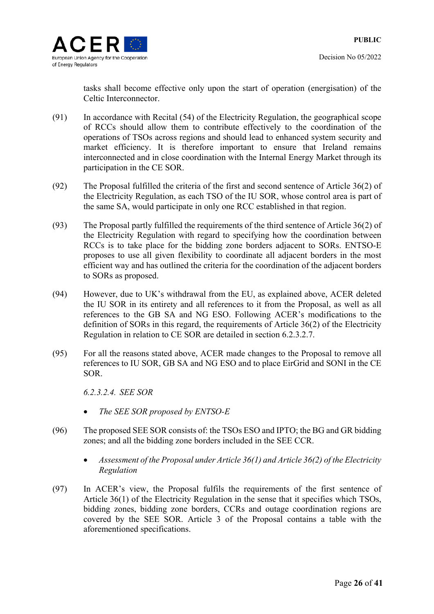

tasks shall become effective only upon the start of operation (energisation) of the Celtic Interconnector.

- (91) In accordance with Recital (54) of the Electricity Regulation, the geographical scope of RCCs should allow them to contribute effectively to the coordination of the operations of TSOs across regions and should lead to enhanced system security and market efficiency. It is therefore important to ensure that Ireland remains interconnected and in close coordination with the Internal Energy Market through its participation in the CE SOR.
- (92) The Proposal fulfilled the criteria of the first and second sentence of Article 36(2) of the Electricity Regulation, as each TSO of the IU SOR, whose control area is part of the same SA, would participate in only one RCC established in that region.
- (93) The Proposal partly fulfilled the requirements of the third sentence of Article 36(2) of the Electricity Regulation with regard to specifying how the coordination between RCCs is to take place for the bidding zone borders adjacent to SORs. ENTSO-E proposes to use all given flexibility to coordinate all adjacent borders in the most efficient way and has outlined the criteria for the coordination of the adjacent borders to SORs as proposed.
- (94) However, due to UK's withdrawal from the EU, as explained above, ACER deleted the IU SOR in its entirety and all references to it from the Proposal, as well as all references to the GB SA and NG ESO. Following ACER's modifications to the definition of SORs in this regard, the requirements of Article 36(2) of the Electricity Regulation in relation to CE SOR are detailed in section 6.2.3.2.7.
- (95) For all the reasons stated above, ACER made changes to the Proposal to remove all references to IU SOR, GB SA and NG ESO and to place EirGrid and SONI in the CE SOR.

*6.2.3.2.4. SEE SOR* 

- *The SEE SOR proposed by ENTSO-E*
- (96) The proposed SEE SOR consists of: the TSOs ESO and IPTO; the BG and GR bidding zones; and all the bidding zone borders included in the SEE CCR.
	- *Assessment of the Proposal under Article 36(1) and Article 36(2) of the Electricity Regulation*
- (97) In ACER's view, the Proposal fulfils the requirements of the first sentence of Article 36(1) of the Electricity Regulation in the sense that it specifies which TSOs, bidding zones, bidding zone borders, CCRs and outage coordination regions are covered by the SEE SOR. Article 3 of the Proposal contains a table with the aforementioned specifications.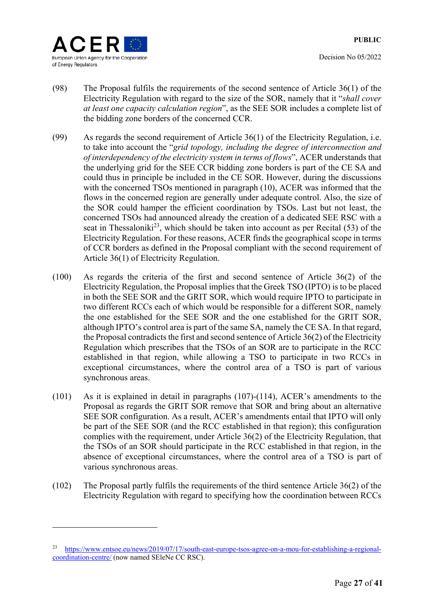

Decision No 05/2022

- (98) The Proposal fulfils the requirements of the second sentence of Article 36(1) of the Electricity Regulation with regard to the size of the SOR, namely that it "*shall cover at least one capacity calculation region*", as the SEE SOR includes a complete list of the bidding zone borders of the concerned CCR.
- (99) As regards the second requirement of Article 36(1) of the Electricity Regulation, i.e. to take into account the "*grid topology, including the degree of interconnection and of interdependency of the electricity system in terms of flows*", ACER understands that the underlying grid for the SEE CCR bidding zone borders is part of the CE SA and could thus in principle be included in the CE SOR. However, during the discussions with the concerned TSOs mentioned in paragraph (10), ACER was informed that the flows in the concerned region are generally under adequate control. Also, the size of the SOR could hamper the efficient coordination by TSOs. Last but not least, the concerned TSOs had announced already the creation of a dedicated SEE RSC with a seat in Thessaloniki<sup>23</sup>, which should be taken into account as per Recital  $(53)$  of the Electricity Regulation. For these reasons, ACER finds the geographical scope in terms of CCR borders as defined in the Proposal compliant with the second requirement of Article 36(1) of Electricity Regulation.
- (100) As regards the criteria of the first and second sentence of Article 36(2) of the Electricity Regulation, the Proposal implies that the Greek TSO (IPTO) is to be placed in both the SEE SOR and the GRIT SOR, which would require IPTO to participate in two different RCCs each of which would be responsible for a different SOR, namely the one established for the SEE SOR and the one established for the GRIT SOR, although IPTO's control area is part of the same SA, namely the CE SA. In that regard, the Proposal contradicts the first and second sentence of Article 36(2) of the Electricity Regulation which prescribes that the TSOs of an SOR are to participate in the RCC established in that region, while allowing a TSO to participate in two RCCs in exceptional circumstances, where the control area of a TSO is part of various synchronous areas.
- (101) As it is explained in detail in paragraphs (107)-(114), ACER's amendments to the Proposal as regards the GRIT SOR remove that SOR and bring about an alternative SEE SOR configuration. As a result, ACER's amendments entail that IPTO will only be part of the SEE SOR (and the RCC established in that region); this configuration complies with the requirement, under Article 36(2) of the Electricity Regulation, that the TSOs of an SOR should participate in the RCC established in that region, in the absence of exceptional circumstances, where the control area of a TSO is part of various synchronous areas.
- (102) The Proposal partly fulfils the requirements of the third sentence Article 36(2) of the Electricity Regulation with regard to specifying how the coordination between RCCs

<sup>23</sup> https://www.entsoe.eu/news/2019/07/17/south-east-europe-tsos-agree-on-a-mou-for-establishing-a-regionalcoordination-centre/ (now named SEleNe CC RSC).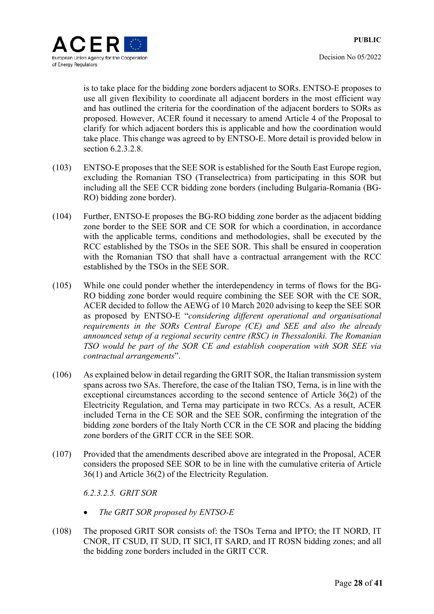

is to take place for the bidding zone borders adjacent to SORs. ENTSO-E proposes to use all given flexibility to coordinate all adjacent borders in the most efficient way and has outlined the criteria for the coordination of the adjacent borders to SORs as proposed. However, ACER found it necessary to amend Article 4 of the Proposal to clarify for which adjacent borders this is applicable and how the coordination would take place. This change was agreed to by ENTSO-E. More detail is provided below in section 6.2.3.2.8.

- (103) ENTSO-E proposes that the SEE SOR is established for the South East Europe region, excluding the Romanian TSO (Transelectrica) from participating in this SOR but including all the SEE CCR bidding zone borders (including Bulgaria-Romania (BG-RO) bidding zone border).
- (104) Further, ENTSO-E proposes the BG-RO bidding zone border as the adjacent bidding zone border to the SEE SOR and CE SOR for which a coordination, in accordance with the applicable terms, conditions and methodologies, shall be executed by the RCC established by the TSOs in the SEE SOR. This shall be ensured in cooperation with the Romanian TSO that shall have a contractual arrangement with the RCC established by the TSOs in the SEE SOR.
- (105) While one could ponder whether the interdependency in terms of flows for the BG-RO bidding zone border would require combining the SEE SOR with the CE SOR, ACER decided to follow the AEWG of 10 March 2020 advising to keep the SEE SOR as proposed by ENTSO-E "*considering different operational and organisational requirements in the SORs Central Europe (CE) and SEE and also the already announced setup of a regional security centre (RSC) in Thessaloniki. The Romanian TSO would be part of the SOR CE and establish cooperation with SOR SEE via contractual arrangements*".
- (106) As explained below in detail regarding the GRIT SOR, the Italian transmission system spans across two SAs. Therefore, the case of the Italian TSO, Terna, is in line with the exceptional circumstances according to the second sentence of Article 36(2) of the Electricity Regulation, and Terna may participate in two RCCs. As a result, ACER included Terna in the CE SOR and the SEE SOR, confirming the integration of the bidding zone borders of the Italy North CCR in the CE SOR and placing the bidding zone borders of the GRIT CCR in the SEE SOR.
- (107) Provided that the amendments described above are integrated in the Proposal, ACER considers the proposed SEE SOR to be in line with the cumulative criteria of Article 36(1) and Article 36(2) of the Electricity Regulation.

*6.2.3.2.5. GRIT SOR* 

- *The GRIT SOR proposed by ENTSO-E*
- (108) The proposed GRIT SOR consists of: the TSOs Terna and IPTO; the IT NORD, IT CNOR, IT CSUD, IT SUD, IT SICI, IT SARD, and IT ROSN bidding zones; and all the bidding zone borders included in the GRIT CCR.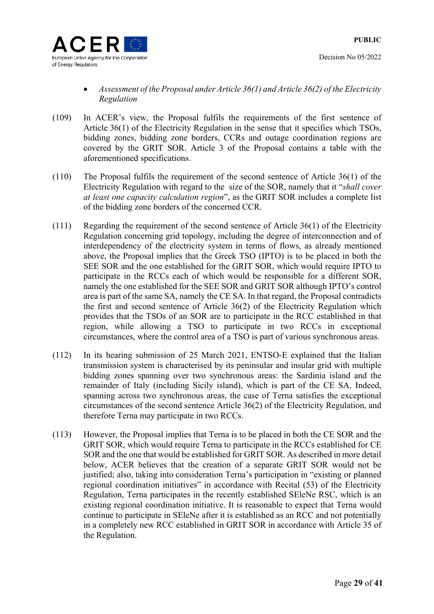

- *Assessment of the Proposal under Article 36(1) and Article 36(2) of the Electricity Regulation*
- (109) In ACER's view, the Proposal fulfils the requirements of the first sentence of Article 36(1) of the Electricity Regulation in the sense that it specifies which TSOs, bidding zones, bidding zone borders, CCRs and outage coordination regions are covered by the GRIT SOR. Article 3 of the Proposal contains a table with the aforementioned specifications.
- (110) The Proposal fulfils the requirement of the second sentence of Article 36(1) of the Electricity Regulation with regard to the size of the SOR, namely that it "*shall cover at least one capacity calculation region*", as the GRIT SOR includes a complete list of the bidding zone borders of the concerned CCR.
- (111) Regarding the requirement of the second sentence of Article 36(1) of the Electricity Regulation concerning grid topology, including the degree of interconnection and of interdependency of the electricity system in terms of flows, as already mentioned above, the Proposal implies that the Greek TSO (IPTO) is to be placed in both the SEE SOR and the one established for the GRIT SOR, which would require IPTO to participate in the RCCs each of which would be responsible for a different SOR, namely the one established for the SEE SOR and GRIT SOR although IPTO's control area is part of the same SA, namely the CE SA. In that regard, the Proposal contradicts the first and second sentence of Article 36(2) of the Electricity Regulation which provides that the TSOs of an SOR are to participate in the RCC established in that region, while allowing a TSO to participate in two RCCs in exceptional circumstances, where the control area of a TSO is part of various synchronous areas.
- (112) In its hearing submission of 25 March 2021, ENTSO-E explained that the Italian transmission system is characterised by its peninsular and insular grid with multiple bidding zones spanning over two synchronous areas: the Sardinia island and the remainder of Italy (including Sicily island), which is part of the CE SA. Indeed, spanning across two synchronous areas, the case of Terna satisfies the exceptional circumstances of the second sentence Article 36(2) of the Electricity Regulation, and therefore Terna may participate in two RCCs.
- (113) However, the Proposal implies that Terna is to be placed in both the CE SOR and the GRIT SOR, which would require Terna to participate in the RCCs established for CE SOR and the one that would be established for GRIT SOR. As described in more detail below, ACER believes that the creation of a separate GRIT SOR would not be justified; also, taking into consideration Terna's participation in "existing or planned regional coordination initiatives" in accordance with Recital (53) of the Electricity Regulation, Terna participates in the recently established SEleNe RSC, which is an existing regional coordination initiative. It is reasonable to expect that Terna would continue to participate in SEleNe after it is established as an RCC and not potentially in a completely new RCC established in GRIT SOR in accordance with Article 35 of the Regulation.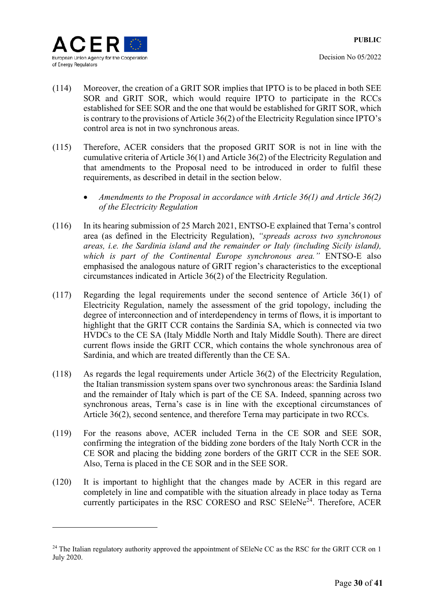

- (114) Moreover, the creation of a GRIT SOR implies that IPTO is to be placed in both SEE SOR and GRIT SOR, which would require IPTO to participate in the RCCs established for SEE SOR and the one that would be established for GRIT SOR, which is contrary to the provisions of Article 36(2) of the Electricity Regulation since IPTO's control area is not in two synchronous areas.
- (115) Therefore, ACER considers that the proposed GRIT SOR is not in line with the cumulative criteria of Article 36(1) and Article 36(2) of the Electricity Regulation and that amendments to the Proposal need to be introduced in order to fulfil these requirements, as described in detail in the section below.
	- *Amendments to the Proposal in accordance with Article 36(1) and Article 36(2) of the Electricity Regulation*
- (116) In its hearing submission of 25 March 2021, ENTSO-E explained that Terna's control area (as defined in the Electricity Regulation), *"spreads across two synchronous areas, i.e. the Sardinia island and the remainder or Italy (including Sicily island), which is part of the Continental Europe synchronous area."* ENTSO-E also emphasised the analogous nature of GRIT region's characteristics to the exceptional circumstances indicated in Article 36(2) of the Electricity Regulation.
- (117) Regarding the legal requirements under the second sentence of Article 36(1) of Electricity Regulation, namely the assessment of the grid topology, including the degree of interconnection and of interdependency in terms of flows, it is important to highlight that the GRIT CCR contains the Sardinia SA, which is connected via two HVDCs to the CE SA (Italy Middle North and Italy Middle South). There are direct current flows inside the GRIT CCR, which contains the whole synchronous area of Sardinia, and which are treated differently than the CE SA.
- (118) As regards the legal requirements under Article 36(2) of the Electricity Regulation, the Italian transmission system spans over two synchronous areas: the Sardinia Island and the remainder of Italy which is part of the CE SA. Indeed, spanning across two synchronous areas, Terna's case is in line with the exceptional circumstances of Article 36(2), second sentence, and therefore Terna may participate in two RCCs.
- (119) For the reasons above, ACER included Terna in the CE SOR and SEE SOR, confirming the integration of the bidding zone borders of the Italy North CCR in the CE SOR and placing the bidding zone borders of the GRIT CCR in the SEE SOR. Also, Terna is placed in the CE SOR and in the SEE SOR.
- (120) It is important to highlight that the changes made by ACER in this regard are completely in line and compatible with the situation already in place today as Terna currently participates in the RSC CORESO and RSC SEleNe<sup>24</sup>. Therefore, ACER

 $^{24}$  The Italian regulatory authority approved the appointment of SEleNe CC as the RSC for the GRIT CCR on 1 July 2020.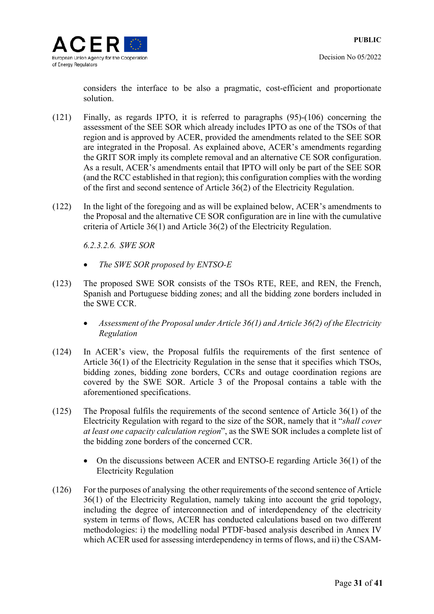considers the interface to be also a pragmatic, cost-efficient and proportionate solution.

- (121) Finally, as regards IPTO, it is referred to paragraphs (95)-(106) concerning the assessment of the SEE SOR which already includes IPTO as one of the TSOs of that region and is approved by ACER, provided the amendments related to the SEE SOR are integrated in the Proposal. As explained above, ACER's amendments regarding the GRIT SOR imply its complete removal and an alternative CE SOR configuration. As a result, ACER's amendments entail that IPTO will only be part of the SEE SOR (and the RCC established in that region); this configuration complies with the wording of the first and second sentence of Article 36(2) of the Electricity Regulation.
- (122) In the light of the foregoing and as will be explained below, ACER's amendments to the Proposal and the alternative CE SOR configuration are in line with the cumulative criteria of Article 36(1) and Article 36(2) of the Electricity Regulation.

*6.2.3.2.6. SWE SOR* 

- *The SWE SOR proposed by ENTSO-E*
- (123) The proposed SWE SOR consists of the TSOs RTE, REE, and REN, the French, Spanish and Portuguese bidding zones; and all the bidding zone borders included in the SWE CCR.
	- *Assessment of the Proposal under Article 36(1) and Article 36(2) of the Electricity Regulation*
- (124) In ACER's view, the Proposal fulfils the requirements of the first sentence of Article 36(1) of the Electricity Regulation in the sense that it specifies which TSOs, bidding zones, bidding zone borders, CCRs and outage coordination regions are covered by the SWE SOR. Article 3 of the Proposal contains a table with the aforementioned specifications.
- (125) The Proposal fulfils the requirements of the second sentence of Article 36(1) of the Electricity Regulation with regard to the size of the SOR, namely that it "*shall cover at least one capacity calculation region*", as the SWE SOR includes a complete list of the bidding zone borders of the concerned CCR.
	- On the discussions between ACER and ENTSO-E regarding Article 36(1) of the Electricity Regulation
- (126) For the purposes of analysing the other requirements of the second sentence of Article 36(1) of the Electricity Regulation, namely taking into account the grid topology, including the degree of interconnection and of interdependency of the electricity system in terms of flows, ACER has conducted calculations based on two different methodologies: i) the modelling nodal PTDF-based analysis described in Annex IV which ACER used for assessing interdependency in terms of flows, and ii) the CSAM-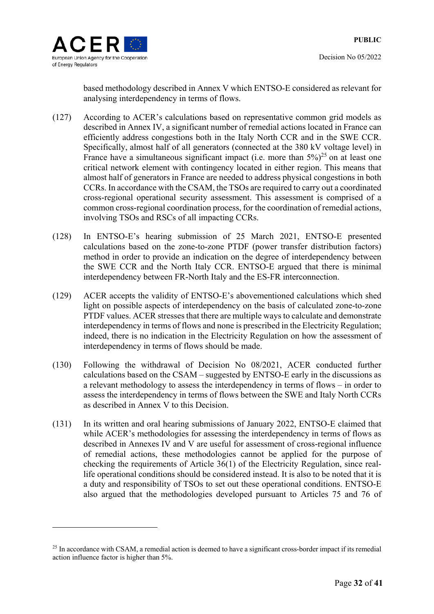

based methodology described in Annex V which ENTSO-E considered as relevant for analysing interdependency in terms of flows.

- (127) According to ACER's calculations based on representative common grid models as described in Annex IV, a significant number of remedial actions located in France can efficiently address congestions both in the Italy North CCR and in the SWE CCR. Specifically, almost half of all generators (connected at the 380 kV voltage level) in France have a simultaneous significant impact (i.e. more than  $5\frac{\sqrt{2}}{5}$  on at least one critical network element with contingency located in either region. This means that almost half of generators in France are needed to address physical congestions in both CCRs. In accordance with the CSAM, the TSOs are required to carry out a coordinated cross-regional operational security assessment. This assessment is comprised of a common cross-regional coordination process, for the coordination of remedial actions, involving TSOs and RSCs of all impacting CCRs.
- (128) In ENTSO-E's hearing submission of 25 March 2021, ENTSO-E presented calculations based on the zone-to-zone PTDF (power transfer distribution factors) method in order to provide an indication on the degree of interdependency between the SWE CCR and the North Italy CCR. ENTSO-E argued that there is minimal interdependency between FR-North Italy and the ES-FR interconnection.
- (129) ACER accepts the validity of ENTSO-E's abovementioned calculations which shed light on possible aspects of interdependency on the basis of calculated zone-to-zone PTDF values. ACER stresses that there are multiple ways to calculate and demonstrate interdependency in terms of flows and none is prescribed in the Electricity Regulation; indeed, there is no indication in the Electricity Regulation on how the assessment of interdependency in terms of flows should be made.
- (130) Following the withdrawal of Decision No 08/2021, ACER conducted further calculations based on the CSAM – suggested by ENTSO-E early in the discussions as a relevant methodology to assess the interdependency in terms of flows – in order to assess the interdependency in terms of flows between the SWE and Italy North CCRs as described in Annex V to this Decision.
- (131) In its written and oral hearing submissions of January 2022, ENTSO-E claimed that while ACER's methodologies for assessing the interdependency in terms of flows as described in Annexes IV and V are useful for assessment of cross-regional influence of remedial actions, these methodologies cannot be applied for the purpose of checking the requirements of Article 36(1) of the Electricity Regulation, since reallife operational conditions should be considered instead. It is also to be noted that it is a duty and responsibility of TSOs to set out these operational conditions. ENTSO-E also argued that the methodologies developed pursuant to Articles 75 and 76 of

<sup>&</sup>lt;sup>25</sup> In accordance with CSAM, a remedial action is deemed to have a significant cross-border impact if its remedial action influence factor is higher than 5%.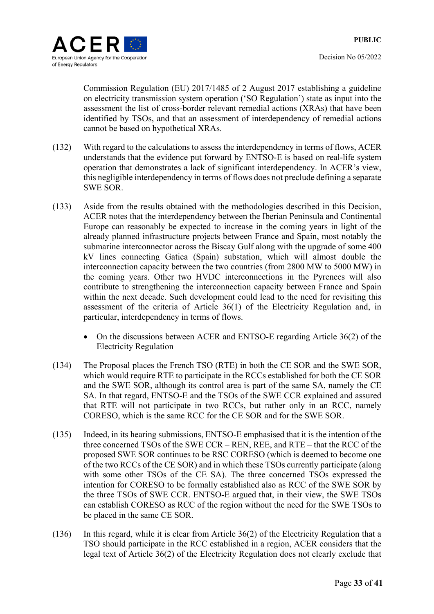

Commission Regulation (EU) 2017/1485 of 2 August 2017 establishing a guideline on electricity transmission system operation ('SO Regulation') state as input into the assessment the list of cross-border relevant remedial actions (XRAs) that have been identified by TSOs, and that an assessment of interdependency of remedial actions cannot be based on hypothetical XRAs.

- (132) With regard to the calculations to assess the interdependency in terms of flows, ACER understands that the evidence put forward by ENTSO-E is based on real-life system operation that demonstrates a lack of significant interdependency. In ACER's view, this negligible interdependency in terms of flows does not preclude defining a separate SWE SOR.
- (133) Aside from the results obtained with the methodologies described in this Decision, ACER notes that the interdependency between the Iberian Peninsula and Continental Europe can reasonably be expected to increase in the coming years in light of the already planned infrastructure projects between France and Spain, most notably the submarine interconnector across the Biscay Gulf along with the upgrade of some 400 kV lines connecting Gatica (Spain) substation, which will almost double the interconnection capacity between the two countries (from 2800 MW to 5000 MW) in the coming years. Other two HVDC interconnections in the Pyrenees will also contribute to strengthening the interconnection capacity between France and Spain within the next decade. Such development could lead to the need for revisiting this assessment of the criteria of Article 36(1) of the Electricity Regulation and, in particular, interdependency in terms of flows.
	- On the discussions between ACER and ENTSO-E regarding Article 36(2) of the Electricity Regulation
- (134) The Proposal places the French TSO (RTE) in both the CE SOR and the SWE SOR, which would require RTE to participate in the RCCs established for both the CE SOR and the SWE SOR, although its control area is part of the same SA, namely the CE SA. In that regard, ENTSO-E and the TSOs of the SWE CCR explained and assured that RTE will not participate in two RCCs, but rather only in an RCC, namely CORESO, which is the same RCC for the CE SOR and for the SWE SOR.
- (135) Indeed, in its hearing submissions, ENTSO-E emphasised that it is the intention of the three concerned TSOs of the SWE CCR – REN, REE, and RTE – that the RCC of the proposed SWE SOR continues to be RSC CORESO (which is deemed to become one of the two RCCs of the CE SOR) and in which these TSOs currently participate (along with some other TSOs of the CE SA). The three concerned TSOs expressed the intention for CORESO to be formally established also as RCC of the SWE SOR by the three TSOs of SWE CCR. ENTSO-E argued that, in their view, the SWE TSOs can establish CORESO as RCC of the region without the need for the SWE TSOs to be placed in the same CE SOR.
- (136) In this regard, while it is clear from Article 36(2) of the Electricity Regulation that a TSO should participate in the RCC established in a region, ACER considers that the legal text of Article 36(2) of the Electricity Regulation does not clearly exclude that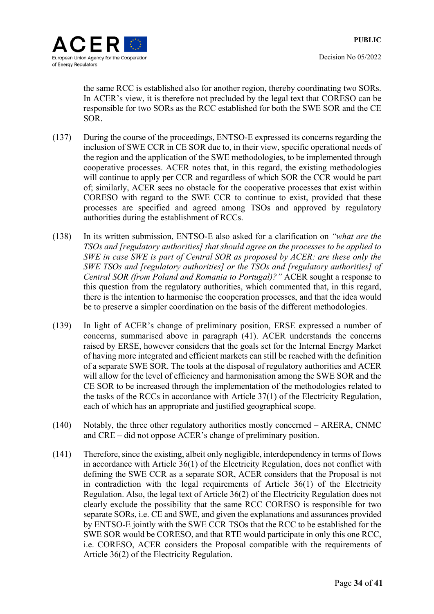the same RCC is established also for another region, thereby coordinating two SORs. In ACER's view, it is therefore not precluded by the legal text that CORESO can be responsible for two SORs as the RCC established for both the SWE SOR and the CE SOR.

- (137) During the course of the proceedings, ENTSO-E expressed its concerns regarding the inclusion of SWE CCR in CE SOR due to, in their view, specific operational needs of the region and the application of the SWE methodologies, to be implemented through cooperative processes. ACER notes that, in this regard, the existing methodologies will continue to apply per CCR and regardless of which SOR the CCR would be part of; similarly, ACER sees no obstacle for the cooperative processes that exist within CORESO with regard to the SWE CCR to continue to exist, provided that these processes are specified and agreed among TSOs and approved by regulatory authorities during the establishment of RCCs.
- (138) In its written submission, ENTSO-E also asked for a clarification on *"what are the TSOs and [regulatory authorities] that should agree on the processes to be applied to SWE in case SWE is part of Central SOR as proposed by ACER: are these only the SWE TSOs and [regulatory authorities] or the TSOs and [regulatory authorities] of Central SOR (from Poland and Romania to Portugal)?"* ACER sought a response to this question from the regulatory authorities, which commented that, in this regard, there is the intention to harmonise the cooperation processes, and that the idea would be to preserve a simpler coordination on the basis of the different methodologies.
- (139) In light of ACER's change of preliminary position, ERSE expressed a number of concerns, summarised above in paragraph (41). ACER understands the concerns raised by ERSE, however considers that the goals set for the Internal Energy Market of having more integrated and efficient markets can still be reached with the definition of a separate SWE SOR. The tools at the disposal of regulatory authorities and ACER will allow for the level of efficiency and harmonisation among the SWE SOR and the CE SOR to be increased through the implementation of the methodologies related to the tasks of the RCCs in accordance with Article 37(1) of the Electricity Regulation, each of which has an appropriate and justified geographical scope.
- (140) Notably, the three other regulatory authorities mostly concerned ARERA, CNMC and CRE – did not oppose ACER's change of preliminary position.
- (141) Therefore, since the existing, albeit only negligible, interdependency in terms of flows in accordance with Article 36(1) of the Electricity Regulation, does not conflict with defining the SWE CCR as a separate SOR, ACER considers that the Proposal is not in contradiction with the legal requirements of Article 36(1) of the Electricity Regulation. Also, the legal text of Article 36(2) of the Electricity Regulation does not clearly exclude the possibility that the same RCC CORESO is responsible for two separate SORs, i.e. CE and SWE, and given the explanations and assurances provided by ENTSO-E jointly with the SWE CCR TSOs that the RCC to be established for the SWE SOR would be CORESO, and that RTE would participate in only this one RCC, i.e. CORESO, ACER considers the Proposal compatible with the requirements of Article 36(2) of the Electricity Regulation.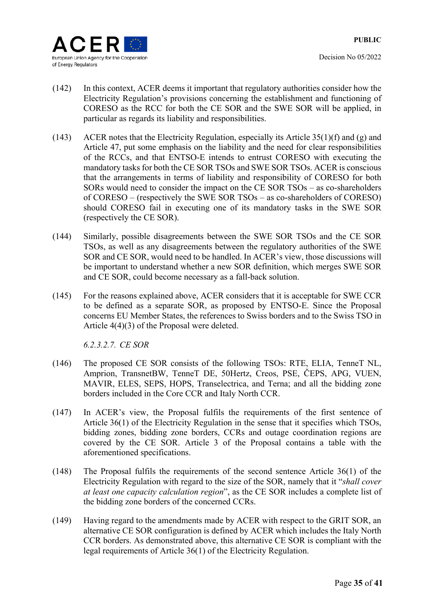- (142) In this context, ACER deems it important that regulatory authorities consider how the Electricity Regulation's provisions concerning the establishment and functioning of CORESO as the RCC for both the CE SOR and the SWE SOR will be applied, in particular as regards its liability and responsibilities.
- (143) ACER notes that the Electricity Regulation, especially its Article  $35(1)(f)$  and (g) and Article 47, put some emphasis on the liability and the need for clear responsibilities of the RCCs, and that ENTSO-E intends to entrust CORESO with executing the mandatory tasks for both the CE SOR TSOs and SWE SOR TSOs. ACER is conscious that the arrangements in terms of liability and responsibility of CORESO for both SORs would need to consider the impact on the CE SOR TSOs – as co-shareholders of CORESO – (respectively the SWE SOR TSOs – as co-shareholders of CORESO) should CORESO fail in executing one of its mandatory tasks in the SWE SOR (respectively the CE SOR).
- (144) Similarly, possible disagreements between the SWE SOR TSOs and the CE SOR TSOs, as well as any disagreements between the regulatory authorities of the SWE SOR and CE SOR, would need to be handled. In ACER's view, those discussions will be important to understand whether a new SOR definition, which merges SWE SOR and CE SOR, could become necessary as a fall-back solution.
- (145) For the reasons explained above, ACER considers that it is acceptable for SWE CCR to be defined as a separate SOR, as proposed by ENTSO-E. Since the Proposal concerns EU Member States, the references to Swiss borders and to the Swiss TSO in Article 4(4)(3) of the Proposal were deleted.

*6.2.3.2.7. CE SOR* 

- (146) The proposed CE SOR consists of the following TSOs: RTE, ELIA, TenneT NL, Amprion, TransnetBW, TenneT DE, 50Hertz, Creos, PSE, ČEPS, APG, VUEN, MAVIR, ELES, SEPS, HOPS, Transelectrica, and Terna; and all the bidding zone borders included in the Core CCR and Italy North CCR.
- (147) In ACER's view, the Proposal fulfils the requirements of the first sentence of Article 36(1) of the Electricity Regulation in the sense that it specifies which TSOs, bidding zones, bidding zone borders, CCRs and outage coordination regions are covered by the CE SOR. Article 3 of the Proposal contains a table with the aforementioned specifications.
- (148) The Proposal fulfils the requirements of the second sentence Article 36(1) of the Electricity Regulation with regard to the size of the SOR, namely that it "*shall cover at least one capacity calculation region*", as the CE SOR includes a complete list of the bidding zone borders of the concerned CCRs.
- (149) Having regard to the amendments made by ACER with respect to the GRIT SOR, an alternative CE SOR configuration is defined by ACER which includes the Italy North CCR borders. As demonstrated above, this alternative CE SOR is compliant with the legal requirements of Article 36(1) of the Electricity Regulation.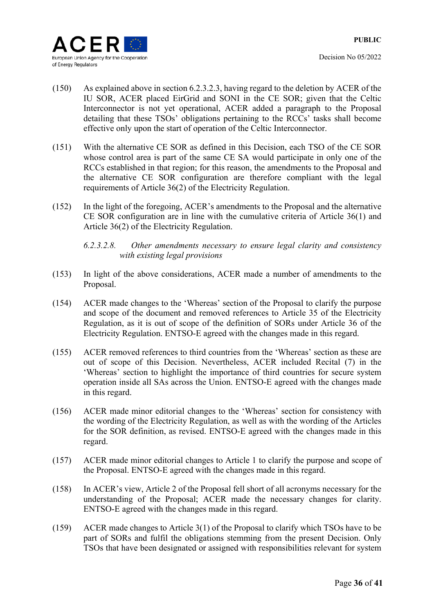

- (150) As explained above in section 6.2.3.2.3, having regard to the deletion by ACER of the IU SOR, ACER placed EirGrid and SONI in the CE SOR; given that the Celtic Interconnector is not yet operational, ACER added a paragraph to the Proposal detailing that these TSOs' obligations pertaining to the RCCs' tasks shall become effective only upon the start of operation of the Celtic Interconnector.
- (151) With the alternative CE SOR as defined in this Decision, each TSO of the CE SOR whose control area is part of the same CE SA would participate in only one of the RCCs established in that region; for this reason, the amendments to the Proposal and the alternative CE SOR configuration are therefore compliant with the legal requirements of Article 36(2) of the Electricity Regulation.
- (152) In the light of the foregoing, ACER's amendments to the Proposal and the alternative CE SOR configuration are in line with the cumulative criteria of Article 36(1) and Article 36(2) of the Electricity Regulation.

### *6.2.3.2.8. Other amendments necessary to ensure legal clarity and consistency with existing legal provisions*

- (153) In light of the above considerations, ACER made a number of amendments to the Proposal.
- (154) ACER made changes to the 'Whereas' section of the Proposal to clarify the purpose and scope of the document and removed references to Article 35 of the Electricity Regulation, as it is out of scope of the definition of SORs under Article 36 of the Electricity Regulation. ENTSO-E agreed with the changes made in this regard.
- (155) ACER removed references to third countries from the 'Whereas' section as these are out of scope of this Decision. Nevertheless, ACER included Recital (7) in the 'Whereas' section to highlight the importance of third countries for secure system operation inside all SAs across the Union. ENTSO-E agreed with the changes made in this regard.
- (156) ACER made minor editorial changes to the 'Whereas' section for consistency with the wording of the Electricity Regulation, as well as with the wording of the Articles for the SOR definition, as revised. ENTSO-E agreed with the changes made in this regard.
- (157) ACER made minor editorial changes to Article 1 to clarify the purpose and scope of the Proposal. ENTSO-E agreed with the changes made in this regard.
- (158) In ACER's view, Article 2 of the Proposal fell short of all acronyms necessary for the understanding of the Proposal; ACER made the necessary changes for clarity. ENTSO-E agreed with the changes made in this regard.
- (159) ACER made changes to Article 3(1) of the Proposal to clarify which TSOs have to be part of SORs and fulfil the obligations stemming from the present Decision. Only TSOs that have been designated or assigned with responsibilities relevant for system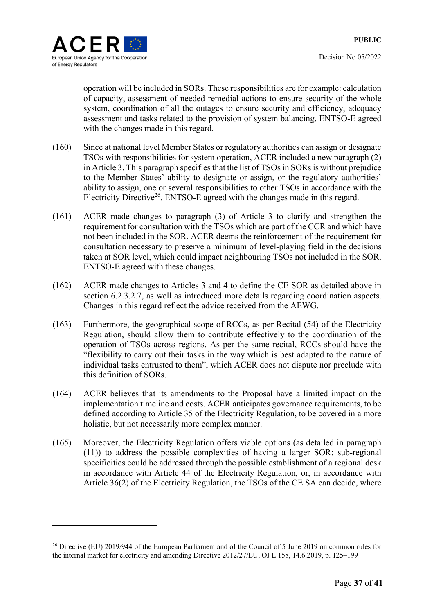



operation will be included in SORs. These responsibilities are for example: calculation of capacity, assessment of needed remedial actions to ensure security of the whole system, coordination of all the outages to ensure security and efficiency, adequacy assessment and tasks related to the provision of system balancing. ENTSO-E agreed with the changes made in this regard.

- (160) Since at national level Member States or regulatory authorities can assign or designate TSOs with responsibilities for system operation, ACER included a new paragraph (2) in Article 3. This paragraph specifies that the list of TSOs in SORs is without prejudice to the Member States' ability to designate or assign, or the regulatory authorities' ability to assign, one or several responsibilities to other TSOs in accordance with the Electricity Directive<sup>26</sup>. ENTSO-E agreed with the changes made in this regard.
- (161) ACER made changes to paragraph (3) of Article 3 to clarify and strengthen the requirement for consultation with the TSOs which are part of the CCR and which have not been included in the SOR. ACER deems the reinforcement of the requirement for consultation necessary to preserve a minimum of level-playing field in the decisions taken at SOR level, which could impact neighbouring TSOs not included in the SOR. ENTSO-E agreed with these changes.
- (162) ACER made changes to Articles 3 and 4 to define the CE SOR as detailed above in section 6.2.3.2.7, as well as introduced more details regarding coordination aspects. Changes in this regard reflect the advice received from the AEWG.
- (163) Furthermore, the geographical scope of RCCs, as per Recital (54) of the Electricity Regulation, should allow them to contribute effectively to the coordination of the operation of TSOs across regions. As per the same recital, RCCs should have the "flexibility to carry out their tasks in the way which is best adapted to the nature of individual tasks entrusted to them", which ACER does not dispute nor preclude with this definition of SORs.
- (164) ACER believes that its amendments to the Proposal have a limited impact on the implementation timeline and costs. ACER anticipates governance requirements, to be defined according to Article 35 of the Electricity Regulation, to be covered in a more holistic, but not necessarily more complex manner.
- (165) Moreover, the Electricity Regulation offers viable options (as detailed in paragraph (11)) to address the possible complexities of having a larger SOR: sub-regional specificities could be addressed through the possible establishment of a regional desk in accordance with Article 44 of the Electricity Regulation, or, in accordance with Article 36(2) of the Electricity Regulation, the TSOs of the CE SA can decide, where

<sup>&</sup>lt;sup>26</sup> Directive (EU) 2019/944 of the European Parliament and of the Council of 5 June 2019 on common rules for the internal market for electricity and amending Directive 2012/27/EU, OJ L 158, 14.6.2019, p. 125–199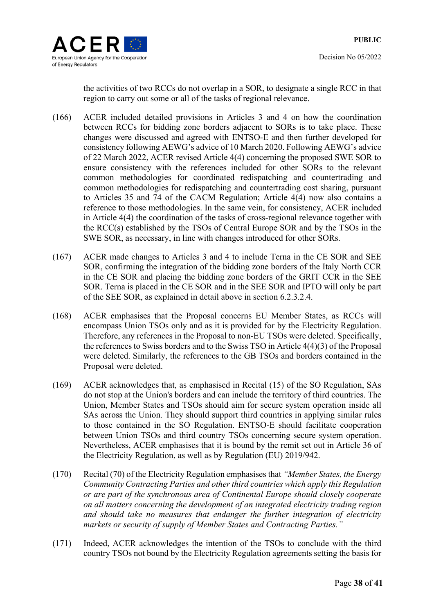

the activities of two RCCs do not overlap in a SOR, to designate a single RCC in that region to carry out some or all of the tasks of regional relevance.

- (166) ACER included detailed provisions in Articles 3 and 4 on how the coordination between RCCs for bidding zone borders adjacent to SORs is to take place. These changes were discussed and agreed with ENTSO-E and then further developed for consistency following AEWG's advice of 10 March 2020. Following AEWG's advice of 22 March 2022, ACER revised Article 4(4) concerning the proposed SWE SOR to ensure consistency with the references included for other SORs to the relevant common methodologies for coordinated redispatching and countertrading and common methodologies for redispatching and countertrading cost sharing, pursuant to Articles 35 and 74 of the CACM Regulation; Article 4(4) now also contains a reference to those methodologies. In the same vein, for consistency, ACER included in Article 4(4) the coordination of the tasks of cross-regional relevance together with the RCC(s) established by the TSOs of Central Europe SOR and by the TSOs in the SWE SOR, as necessary, in line with changes introduced for other SORs.
- (167) ACER made changes to Articles 3 and 4 to include Terna in the CE SOR and SEE SOR, confirming the integration of the bidding zone borders of the Italy North CCR in the CE SOR and placing the bidding zone borders of the GRIT CCR in the SEE SOR. Terna is placed in the CE SOR and in the SEE SOR and IPTO will only be part of the SEE SOR, as explained in detail above in section 6.2.3.2.4.
- (168) ACER emphasises that the Proposal concerns EU Member States, as RCCs will encompass Union TSOs only and as it is provided for by the Electricity Regulation. Therefore, any references in the Proposal to non-EU TSOs were deleted. Specifically, the references to Swiss borders and to the Swiss TSO in Article 4(4)(3) of the Proposal were deleted. Similarly, the references to the GB TSOs and borders contained in the Proposal were deleted.
- (169) ACER acknowledges that, as emphasised in Recital (15) of the SO Regulation, SAs do not stop at the Union's borders and can include the territory of third countries. The Union, Member States and TSOs should aim for secure system operation inside all SAs across the Union. They should support third countries in applying similar rules to those contained in the SO Regulation. ENTSO-E should facilitate cooperation between Union TSOs and third country TSOs concerning secure system operation. Nevertheless, ACER emphasises that it is bound by the remit set out in Article 36 of the Electricity Regulation, as well as by Regulation (EU) 2019/942.
- (170) Recital (70) of the Electricity Regulation emphasises that *"Member States, the Energy Community Contracting Parties and other third countries which apply this Regulation or are part of the synchronous area of Continental Europe should closely cooperate on all matters concerning the development of an integrated electricity trading region and should take no measures that endanger the further integration of electricity markets or security of supply of Member States and Contracting Parties."*
- (171) Indeed, ACER acknowledges the intention of the TSOs to conclude with the third country TSOs not bound by the Electricity Regulation agreements setting the basis for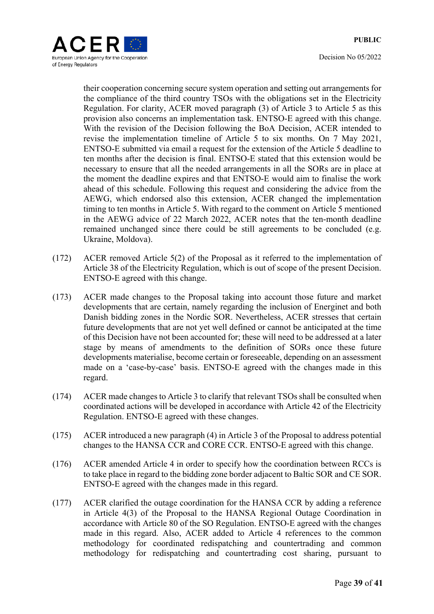

their cooperation concerning secure system operation and setting out arrangements for the compliance of the third country TSOs with the obligations set in the Electricity Regulation. For clarity, ACER moved paragraph (3) of Article 3 to Article 5 as this provision also concerns an implementation task. ENTSO-E agreed with this change. With the revision of the Decision following the BoA Decision, ACER intended to revise the implementation timeline of Article 5 to six months. On 7 May 2021, ENTSO-E submitted via email a request for the extension of the Article 5 deadline to ten months after the decision is final. ENTSO-E stated that this extension would be necessary to ensure that all the needed arrangements in all the SORs are in place at the moment the deadline expires and that ENTSO-E would aim to finalise the work ahead of this schedule. Following this request and considering the advice from the AEWG, which endorsed also this extension, ACER changed the implementation timing to ten months in Article 5. With regard to the comment on Article 5 mentioned in the AEWG advice of 22 March 2022, ACER notes that the ten-month deadline remained unchanged since there could be still agreements to be concluded (e.g. Ukraine, Moldova).

- (172) ACER removed Article 5(2) of the Proposal as it referred to the implementation of Article 38 of the Electricity Regulation, which is out of scope of the present Decision. ENTSO-E agreed with this change.
- (173) ACER made changes to the Proposal taking into account those future and market developments that are certain, namely regarding the inclusion of Energinet and both Danish bidding zones in the Nordic SOR. Nevertheless, ACER stresses that certain future developments that are not yet well defined or cannot be anticipated at the time of this Decision have not been accounted for; these will need to be addressed at a later stage by means of amendments to the definition of SORs once these future developments materialise, become certain or foreseeable, depending on an assessment made on a 'case-by-case' basis. ENTSO-E agreed with the changes made in this regard.
- (174) ACER made changes to Article 3 to clarify that relevant TSOs shall be consulted when coordinated actions will be developed in accordance with Article 42 of the Electricity Regulation. ENTSO-E agreed with these changes.
- (175) ACER introduced a new paragraph (4) in Article 3 of the Proposal to address potential changes to the HANSA CCR and CORE CCR. ENTSO-E agreed with this change.
- (176) ACER amended Article 4 in order to specify how the coordination between RCCs is to take place in regard to the bidding zone border adjacent to Baltic SOR and CE SOR. ENTSO-E agreed with the changes made in this regard.
- (177) ACER clarified the outage coordination for the HANSA CCR by adding a reference in Article 4(3) of the Proposal to the HANSA Regional Outage Coordination in accordance with Article 80 of the SO Regulation. ENTSO-E agreed with the changes made in this regard. Also, ACER added to Article 4 references to the common methodology for coordinated redispatching and countertrading and common methodology for redispatching and countertrading cost sharing, pursuant to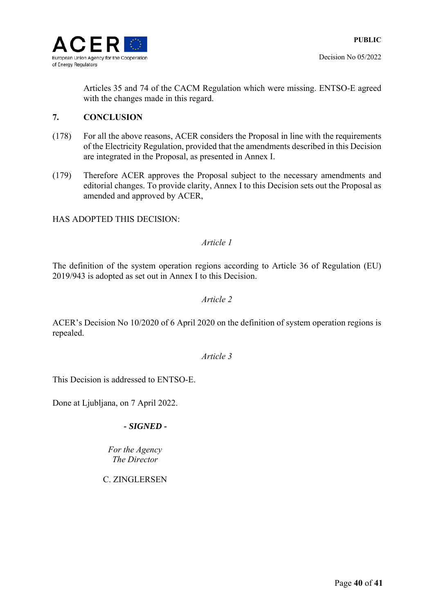

Articles 35 and 74 of the CACM Regulation which were missing. ENTSO-E agreed with the changes made in this regard.

### **7. CONCLUSION**

- (178) For all the above reasons, ACER considers the Proposal in line with the requirements of the Electricity Regulation, provided that the amendments described in this Decision are integrated in the Proposal, as presented in Annex I.
- (179) Therefore ACER approves the Proposal subject to the necessary amendments and editorial changes. To provide clarity, Annex I to this Decision sets out the Proposal as amended and approved by ACER,

### HAS ADOPTED THIS DECISION:

### *Article 1*

The definition of the system operation regions according to Article 36 of Regulation (EU) 2019/943 is adopted as set out in Annex I to this Decision.

### *Article 2*

ACER's Decision No 10/2020 of 6 April 2020 on the definition of system operation regions is repealed.

*Article 3* 

This Decision is addressed to ENTSO-E.

Done at Ljubljana, on 7 April 2022.

### *- SIGNED -*

*Fоr the Agency The Director* 

C. ZINGLERSEN